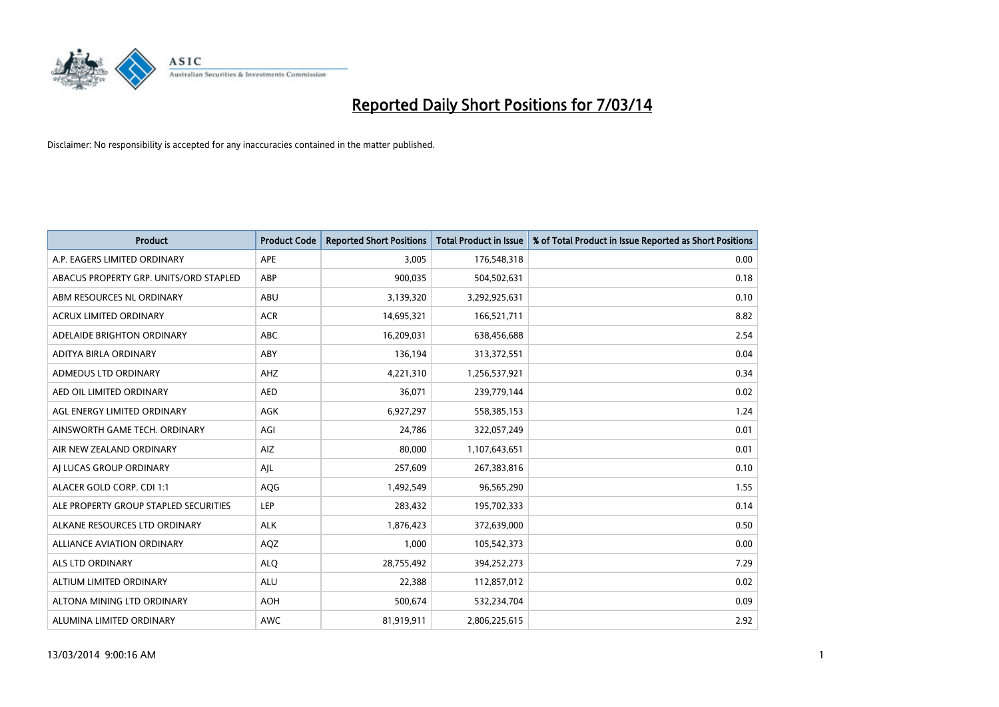

| <b>Product</b>                         | <b>Product Code</b> | <b>Reported Short Positions</b> | <b>Total Product in Issue</b> | % of Total Product in Issue Reported as Short Positions |
|----------------------------------------|---------------------|---------------------------------|-------------------------------|---------------------------------------------------------|
| A.P. EAGERS LIMITED ORDINARY           | APE                 | 3,005                           | 176,548,318                   | 0.00                                                    |
| ABACUS PROPERTY GRP. UNITS/ORD STAPLED | ABP                 | 900,035                         | 504,502,631                   | 0.18                                                    |
| ABM RESOURCES NL ORDINARY              | ABU                 | 3,139,320                       | 3,292,925,631                 | 0.10                                                    |
| ACRUX LIMITED ORDINARY                 | <b>ACR</b>          | 14,695,321                      | 166,521,711                   | 8.82                                                    |
| ADELAIDE BRIGHTON ORDINARY             | <b>ABC</b>          | 16,209,031                      | 638,456,688                   | 2.54                                                    |
| ADITYA BIRLA ORDINARY                  | ABY                 | 136,194                         | 313,372,551                   | 0.04                                                    |
| <b>ADMEDUS LTD ORDINARY</b>            | AHZ                 | 4,221,310                       | 1,256,537,921                 | 0.34                                                    |
| AED OIL LIMITED ORDINARY               | <b>AED</b>          | 36,071                          | 239,779,144                   | 0.02                                                    |
| AGL ENERGY LIMITED ORDINARY            | AGK                 | 6,927,297                       | 558,385,153                   | 1.24                                                    |
| AINSWORTH GAME TECH. ORDINARY          | AGI                 | 24,786                          | 322,057,249                   | 0.01                                                    |
| AIR NEW ZEALAND ORDINARY               | AIZ                 | 80,000                          | 1,107,643,651                 | 0.01                                                    |
| AI LUCAS GROUP ORDINARY                | AJL                 | 257,609                         | 267,383,816                   | 0.10                                                    |
| ALACER GOLD CORP. CDI 1:1              | AQG                 | 1,492,549                       | 96,565,290                    | 1.55                                                    |
| ALE PROPERTY GROUP STAPLED SECURITIES  | LEP                 | 283,432                         | 195,702,333                   | 0.14                                                    |
| ALKANE RESOURCES LTD ORDINARY          | <b>ALK</b>          | 1,876,423                       | 372,639,000                   | 0.50                                                    |
| ALLIANCE AVIATION ORDINARY             | AQZ                 | 1,000                           | 105,542,373                   | 0.00                                                    |
| <b>ALS LTD ORDINARY</b>                | <b>ALO</b>          | 28,755,492                      | 394,252,273                   | 7.29                                                    |
| ALTIUM LIMITED ORDINARY                | <b>ALU</b>          | 22,388                          | 112,857,012                   | 0.02                                                    |
| ALTONA MINING LTD ORDINARY             | <b>AOH</b>          | 500,674                         | 532,234,704                   | 0.09                                                    |
| ALUMINA LIMITED ORDINARY               | <b>AWC</b>          | 81,919,911                      | 2,806,225,615                 | 2.92                                                    |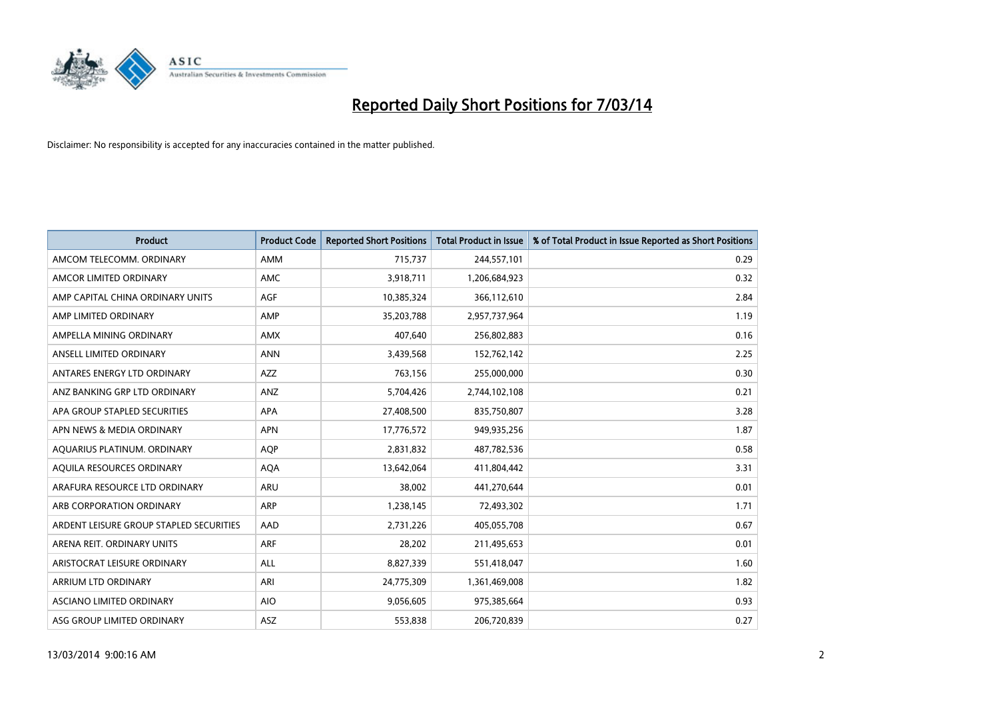

| <b>Product</b>                          | <b>Product Code</b> | <b>Reported Short Positions</b> | <b>Total Product in Issue</b> | % of Total Product in Issue Reported as Short Positions |
|-----------------------------------------|---------------------|---------------------------------|-------------------------------|---------------------------------------------------------|
| AMCOM TELECOMM. ORDINARY                | <b>AMM</b>          | 715,737                         | 244,557,101                   | 0.29                                                    |
| AMCOR LIMITED ORDINARY                  | <b>AMC</b>          | 3,918,711                       | 1,206,684,923                 | 0.32                                                    |
| AMP CAPITAL CHINA ORDINARY UNITS        | <b>AGF</b>          | 10,385,324                      | 366,112,610                   | 2.84                                                    |
| AMP LIMITED ORDINARY                    | AMP                 | 35,203,788                      | 2,957,737,964                 | 1.19                                                    |
| AMPELLA MINING ORDINARY                 | <b>AMX</b>          | 407,640                         | 256,802,883                   | 0.16                                                    |
| ANSELL LIMITED ORDINARY                 | <b>ANN</b>          | 3,439,568                       | 152,762,142                   | 2.25                                                    |
| ANTARES ENERGY LTD ORDINARY             | <b>AZZ</b>          | 763,156                         | 255,000,000                   | 0.30                                                    |
| ANZ BANKING GRP LTD ORDINARY            | ANZ                 | 5,704,426                       | 2,744,102,108                 | 0.21                                                    |
| APA GROUP STAPLED SECURITIES            | <b>APA</b>          | 27,408,500                      | 835,750,807                   | 3.28                                                    |
| APN NEWS & MEDIA ORDINARY               | <b>APN</b>          | 17,776,572                      | 949,935,256                   | 1.87                                                    |
| AQUARIUS PLATINUM. ORDINARY             | <b>AOP</b>          | 2,831,832                       | 487,782,536                   | 0.58                                                    |
| AQUILA RESOURCES ORDINARY               | <b>AQA</b>          | 13,642,064                      | 411,804,442                   | 3.31                                                    |
| ARAFURA RESOURCE LTD ORDINARY           | <b>ARU</b>          | 38,002                          | 441,270,644                   | 0.01                                                    |
| ARB CORPORATION ORDINARY                | ARP                 | 1,238,145                       | 72,493,302                    | 1.71                                                    |
| ARDENT LEISURE GROUP STAPLED SECURITIES | AAD                 | 2,731,226                       | 405,055,708                   | 0.67                                                    |
| ARENA REIT. ORDINARY UNITS              | <b>ARF</b>          | 28,202                          | 211,495,653                   | 0.01                                                    |
| ARISTOCRAT LEISURE ORDINARY             | <b>ALL</b>          | 8,827,339                       | 551,418,047                   | 1.60                                                    |
| <b>ARRIUM LTD ORDINARY</b>              | ARI                 | 24,775,309                      | 1,361,469,008                 | 1.82                                                    |
| <b>ASCIANO LIMITED ORDINARY</b>         | <b>AIO</b>          | 9,056,605                       | 975,385,664                   | 0.93                                                    |
| ASG GROUP LIMITED ORDINARY              | <b>ASZ</b>          | 553,838                         | 206,720,839                   | 0.27                                                    |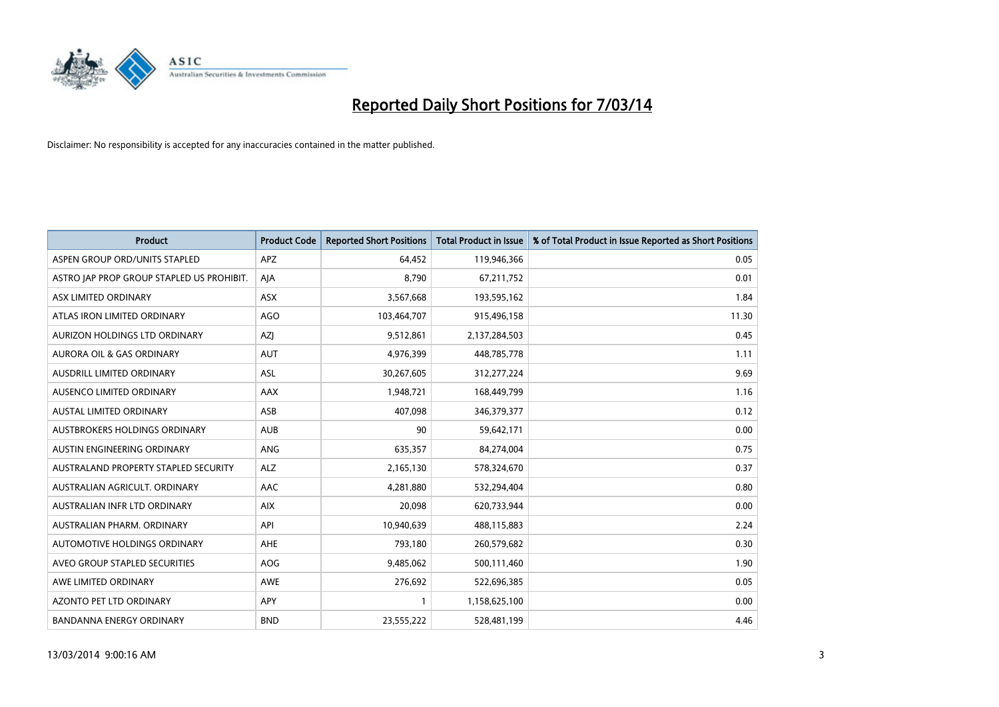

| <b>Product</b>                            | <b>Product Code</b> | <b>Reported Short Positions</b> | <b>Total Product in Issue</b> | % of Total Product in Issue Reported as Short Positions |
|-------------------------------------------|---------------------|---------------------------------|-------------------------------|---------------------------------------------------------|
| ASPEN GROUP ORD/UNITS STAPLED             | <b>APZ</b>          | 64.452                          | 119,946,366                   | 0.05                                                    |
| ASTRO JAP PROP GROUP STAPLED US PROHIBIT. | AJA                 | 8,790                           | 67,211,752                    | 0.01                                                    |
| ASX LIMITED ORDINARY                      | <b>ASX</b>          | 3,567,668                       | 193,595,162                   | 1.84                                                    |
| ATLAS IRON LIMITED ORDINARY               | AGO                 | 103,464,707                     | 915,496,158                   | 11.30                                                   |
| AURIZON HOLDINGS LTD ORDINARY             | AZI                 | 9,512,861                       | 2,137,284,503                 | 0.45                                                    |
| AURORA OIL & GAS ORDINARY                 | <b>AUT</b>          | 4,976,399                       | 448,785,778                   | 1.11                                                    |
| AUSDRILL LIMITED ORDINARY                 | <b>ASL</b>          | 30,267,605                      | 312,277,224                   | 9.69                                                    |
| AUSENCO LIMITED ORDINARY                  | AAX                 | 1,948,721                       | 168,449,799                   | 1.16                                                    |
| <b>AUSTAL LIMITED ORDINARY</b>            | ASB                 | 407.098                         | 346,379,377                   | 0.12                                                    |
| AUSTBROKERS HOLDINGS ORDINARY             | <b>AUB</b>          | 90                              | 59,642,171                    | 0.00                                                    |
| AUSTIN ENGINEERING ORDINARY               | ANG                 | 635,357                         | 84,274,004                    | 0.75                                                    |
| AUSTRALAND PROPERTY STAPLED SECURITY      | <b>ALZ</b>          | 2,165,130                       | 578,324,670                   | 0.37                                                    |
| AUSTRALIAN AGRICULT, ORDINARY             | <b>AAC</b>          | 4,281,880                       | 532,294,404                   | 0.80                                                    |
| AUSTRALIAN INFR LTD ORDINARY              | <b>AIX</b>          | 20,098                          | 620,733,944                   | 0.00                                                    |
| AUSTRALIAN PHARM, ORDINARY                | API                 | 10,940,639                      | 488,115,883                   | 2.24                                                    |
| AUTOMOTIVE HOLDINGS ORDINARY              | <b>AHE</b>          | 793,180                         | 260,579,682                   | 0.30                                                    |
| AVEO GROUP STAPLED SECURITIES             | <b>AOG</b>          | 9,485,062                       | 500,111,460                   | 1.90                                                    |
| AWE LIMITED ORDINARY                      | <b>AWE</b>          | 276,692                         | 522,696,385                   | 0.05                                                    |
| <b>AZONTO PET LTD ORDINARY</b>            | <b>APY</b>          |                                 | 1,158,625,100                 | 0.00                                                    |
| <b>BANDANNA ENERGY ORDINARY</b>           | <b>BND</b>          | 23,555,222                      | 528,481,199                   | 4.46                                                    |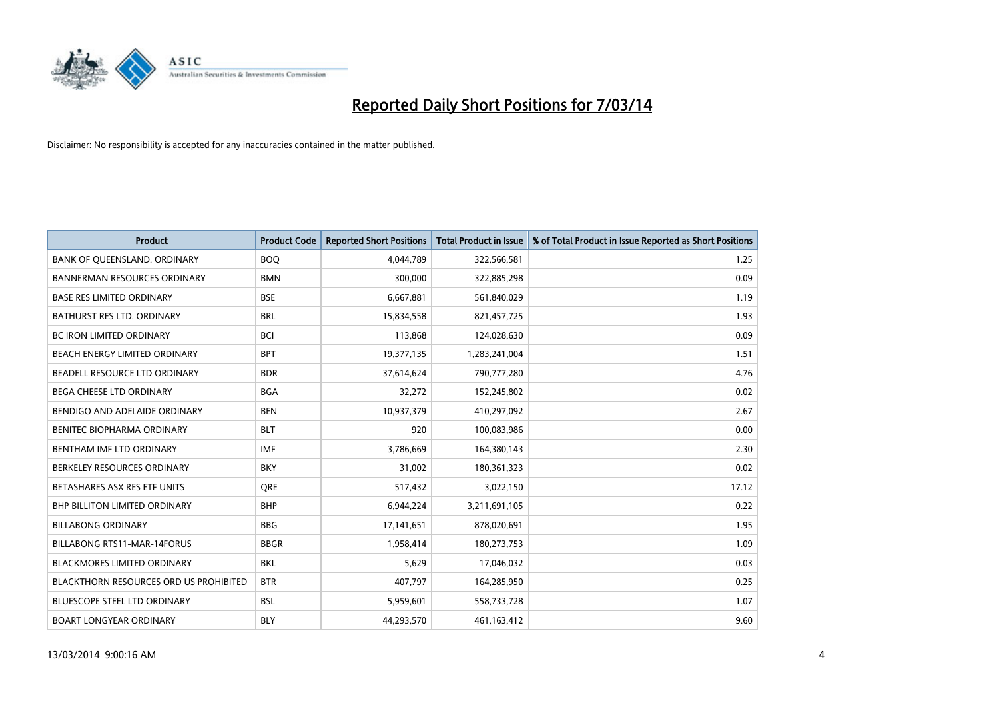

| <b>Product</b>                                | <b>Product Code</b> | <b>Reported Short Positions</b> | <b>Total Product in Issue</b> | % of Total Product in Issue Reported as Short Positions |
|-----------------------------------------------|---------------------|---------------------------------|-------------------------------|---------------------------------------------------------|
| BANK OF QUEENSLAND. ORDINARY                  | <b>BOQ</b>          | 4,044,789                       | 322,566,581                   | 1.25                                                    |
| <b>BANNERMAN RESOURCES ORDINARY</b>           | <b>BMN</b>          | 300,000                         | 322,885,298                   | 0.09                                                    |
| <b>BASE RES LIMITED ORDINARY</b>              | <b>BSE</b>          | 6,667,881                       | 561,840,029                   | 1.19                                                    |
| BATHURST RES LTD. ORDINARY                    | <b>BRL</b>          | 15,834,558                      | 821,457,725                   | 1.93                                                    |
| <b>BC IRON LIMITED ORDINARY</b>               | <b>BCI</b>          | 113,868                         | 124,028,630                   | 0.09                                                    |
| <b>BEACH ENERGY LIMITED ORDINARY</b>          | <b>BPT</b>          | 19,377,135                      | 1,283,241,004                 | 1.51                                                    |
| BEADELL RESOURCE LTD ORDINARY                 | <b>BDR</b>          | 37,614,624                      | 790,777,280                   | 4.76                                                    |
| BEGA CHEESE LTD ORDINARY                      | <b>BGA</b>          | 32,272                          | 152,245,802                   | 0.02                                                    |
| BENDIGO AND ADELAIDE ORDINARY                 | <b>BEN</b>          | 10,937,379                      | 410,297,092                   | 2.67                                                    |
| BENITEC BIOPHARMA ORDINARY                    | <b>BLT</b>          | 920                             | 100,083,986                   | 0.00                                                    |
| BENTHAM IMF LTD ORDINARY                      | <b>IMF</b>          | 3,786,669                       | 164,380,143                   | 2.30                                                    |
| BERKELEY RESOURCES ORDINARY                   | <b>BKY</b>          | 31,002                          | 180,361,323                   | 0.02                                                    |
| BETASHARES ASX RES ETF UNITS                  | <b>ORE</b>          | 517,432                         | 3,022,150                     | 17.12                                                   |
| <b>BHP BILLITON LIMITED ORDINARY</b>          | <b>BHP</b>          | 6,944,224                       | 3,211,691,105                 | 0.22                                                    |
| <b>BILLABONG ORDINARY</b>                     | <b>BBG</b>          | 17,141,651                      | 878,020,691                   | 1.95                                                    |
| BILLABONG RTS11-MAR-14FORUS                   | <b>BBGR</b>         | 1,958,414                       | 180,273,753                   | 1.09                                                    |
| <b>BLACKMORES LIMITED ORDINARY</b>            | <b>BKL</b>          | 5,629                           | 17,046,032                    | 0.03                                                    |
| <b>BLACKTHORN RESOURCES ORD US PROHIBITED</b> | <b>BTR</b>          | 407,797                         | 164,285,950                   | 0.25                                                    |
| <b>BLUESCOPE STEEL LTD ORDINARY</b>           | <b>BSL</b>          | 5,959,601                       | 558,733,728                   | 1.07                                                    |
| <b>BOART LONGYEAR ORDINARY</b>                | <b>BLY</b>          | 44.293.570                      | 461,163,412                   | 9.60                                                    |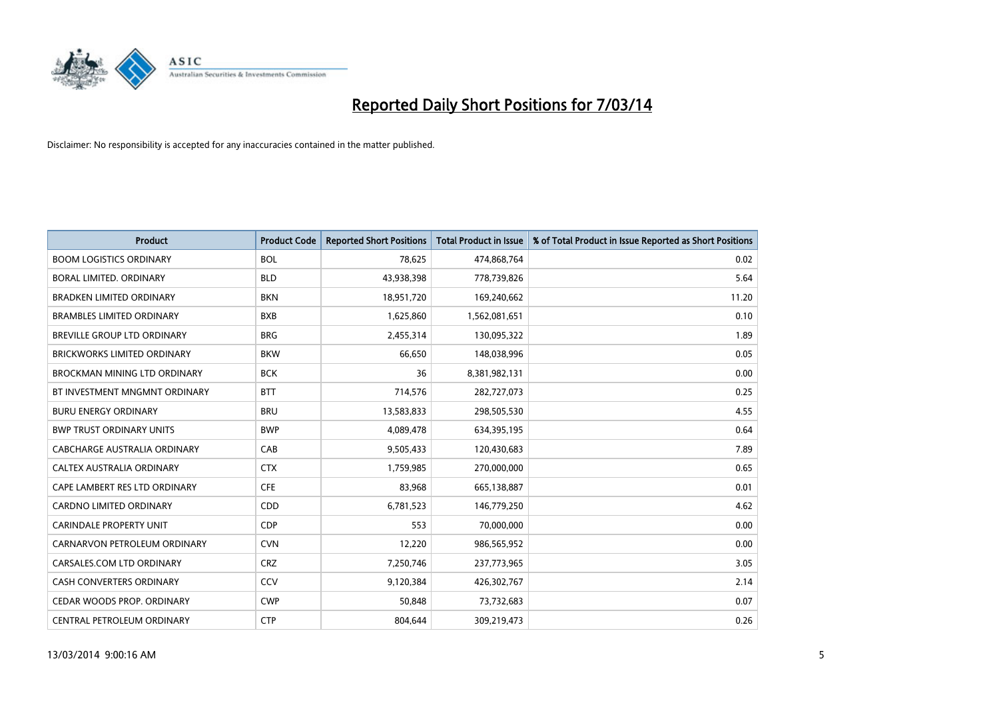

| <b>Product</b>                      | <b>Product Code</b> | <b>Reported Short Positions</b> | <b>Total Product in Issue</b> | % of Total Product in Issue Reported as Short Positions |
|-------------------------------------|---------------------|---------------------------------|-------------------------------|---------------------------------------------------------|
| <b>BOOM LOGISTICS ORDINARY</b>      | <b>BOL</b>          | 78,625                          | 474,868,764                   | 0.02                                                    |
| BORAL LIMITED. ORDINARY             | <b>BLD</b>          | 43,938,398                      | 778,739,826                   | 5.64                                                    |
| <b>BRADKEN LIMITED ORDINARY</b>     | <b>BKN</b>          | 18,951,720                      | 169,240,662                   | 11.20                                                   |
| <b>BRAMBLES LIMITED ORDINARY</b>    | <b>BXB</b>          | 1,625,860                       | 1,562,081,651                 | 0.10                                                    |
| <b>BREVILLE GROUP LTD ORDINARY</b>  | <b>BRG</b>          | 2,455,314                       | 130,095,322                   | 1.89                                                    |
| <b>BRICKWORKS LIMITED ORDINARY</b>  | <b>BKW</b>          | 66,650                          | 148,038,996                   | 0.05                                                    |
| <b>BROCKMAN MINING LTD ORDINARY</b> | <b>BCK</b>          | 36                              | 8,381,982,131                 | 0.00                                                    |
| BT INVESTMENT MNGMNT ORDINARY       | <b>BTT</b>          | 714,576                         | 282,727,073                   | 0.25                                                    |
| <b>BURU ENERGY ORDINARY</b>         | <b>BRU</b>          | 13,583,833                      | 298,505,530                   | 4.55                                                    |
| <b>BWP TRUST ORDINARY UNITS</b>     | <b>BWP</b>          | 4,089,478                       | 634,395,195                   | 0.64                                                    |
| CABCHARGE AUSTRALIA ORDINARY        | CAB                 | 9,505,433                       | 120,430,683                   | 7.89                                                    |
| <b>CALTEX AUSTRALIA ORDINARY</b>    | <b>CTX</b>          | 1,759,985                       | 270,000,000                   | 0.65                                                    |
| CAPE LAMBERT RES LTD ORDINARY       | <b>CFE</b>          | 83,968                          | 665,138,887                   | 0.01                                                    |
| <b>CARDNO LIMITED ORDINARY</b>      | CDD                 | 6,781,523                       | 146,779,250                   | 4.62                                                    |
| <b>CARINDALE PROPERTY UNIT</b>      | <b>CDP</b>          | 553                             | 70,000,000                    | 0.00                                                    |
| CARNARVON PETROLEUM ORDINARY        | <b>CVN</b>          | 12,220                          | 986,565,952                   | 0.00                                                    |
| CARSALES.COM LTD ORDINARY           | <b>CRZ</b>          | 7,250,746                       | 237,773,965                   | 3.05                                                    |
| CASH CONVERTERS ORDINARY            | CCV                 | 9,120,384                       | 426,302,767                   | 2.14                                                    |
| CEDAR WOODS PROP. ORDINARY          | <b>CWP</b>          | 50,848                          | 73,732,683                    | 0.07                                                    |
| CENTRAL PETROLEUM ORDINARY          | <b>CTP</b>          | 804.644                         | 309,219,473                   | 0.26                                                    |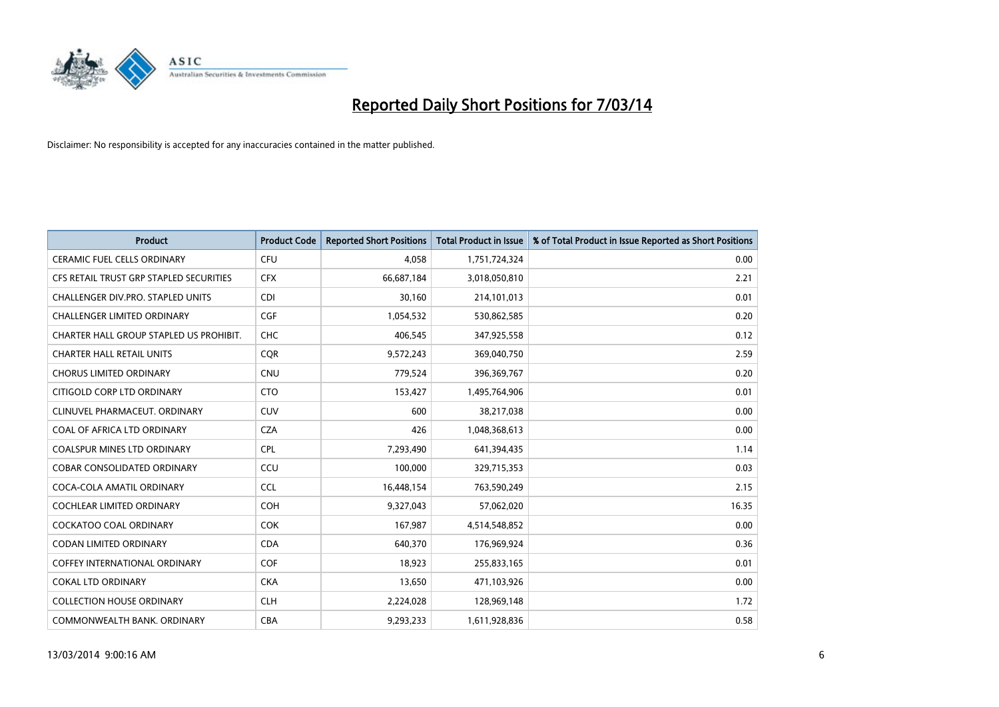

| <b>Product</b>                          | <b>Product Code</b> | <b>Reported Short Positions</b> | <b>Total Product in Issue</b> | % of Total Product in Issue Reported as Short Positions |
|-----------------------------------------|---------------------|---------------------------------|-------------------------------|---------------------------------------------------------|
| <b>CERAMIC FUEL CELLS ORDINARY</b>      | <b>CFU</b>          | 4,058                           | 1,751,724,324                 | 0.00                                                    |
| CFS RETAIL TRUST GRP STAPLED SECURITIES | <b>CFX</b>          | 66,687,184                      | 3,018,050,810                 | 2.21                                                    |
| CHALLENGER DIV.PRO. STAPLED UNITS       | <b>CDI</b>          | 30,160                          | 214,101,013                   | 0.01                                                    |
| CHALLENGER LIMITED ORDINARY             | <b>CGF</b>          | 1,054,532                       | 530,862,585                   | 0.20                                                    |
| CHARTER HALL GROUP STAPLED US PROHIBIT. | <b>CHC</b>          | 406,545                         | 347,925,558                   | 0.12                                                    |
| <b>CHARTER HALL RETAIL UNITS</b>        | <b>CQR</b>          | 9,572,243                       | 369,040,750                   | 2.59                                                    |
| <b>CHORUS LIMITED ORDINARY</b>          | <b>CNU</b>          | 779,524                         | 396,369,767                   | 0.20                                                    |
| CITIGOLD CORP LTD ORDINARY              | <b>CTO</b>          | 153,427                         | 1,495,764,906                 | 0.01                                                    |
| CLINUVEL PHARMACEUT. ORDINARY           | <b>CUV</b>          | 600                             | 38,217,038                    | 0.00                                                    |
| COAL OF AFRICA LTD ORDINARY             | <b>CZA</b>          | 426                             | 1,048,368,613                 | 0.00                                                    |
| <b>COALSPUR MINES LTD ORDINARY</b>      | CPL                 | 7,293,490                       | 641,394,435                   | 1.14                                                    |
| <b>COBAR CONSOLIDATED ORDINARY</b>      | CCU                 | 100,000                         | 329,715,353                   | 0.03                                                    |
| COCA-COLA AMATIL ORDINARY               | <b>CCL</b>          | 16,448,154                      | 763,590,249                   | 2.15                                                    |
| <b>COCHLEAR LIMITED ORDINARY</b>        | <b>COH</b>          | 9,327,043                       | 57,062,020                    | 16.35                                                   |
| <b>COCKATOO COAL ORDINARY</b>           | <b>COK</b>          | 167,987                         | 4,514,548,852                 | 0.00                                                    |
| <b>CODAN LIMITED ORDINARY</b>           | <b>CDA</b>          | 640,370                         | 176,969,924                   | 0.36                                                    |
| <b>COFFEY INTERNATIONAL ORDINARY</b>    | <b>COF</b>          | 18,923                          | 255,833,165                   | 0.01                                                    |
| <b>COKAL LTD ORDINARY</b>               | <b>CKA</b>          | 13,650                          | 471,103,926                   | 0.00                                                    |
| <b>COLLECTION HOUSE ORDINARY</b>        | <b>CLH</b>          | 2,224,028                       | 128,969,148                   | 1.72                                                    |
| COMMONWEALTH BANK, ORDINARY             | <b>CBA</b>          | 9.293.233                       | 1,611,928,836                 | 0.58                                                    |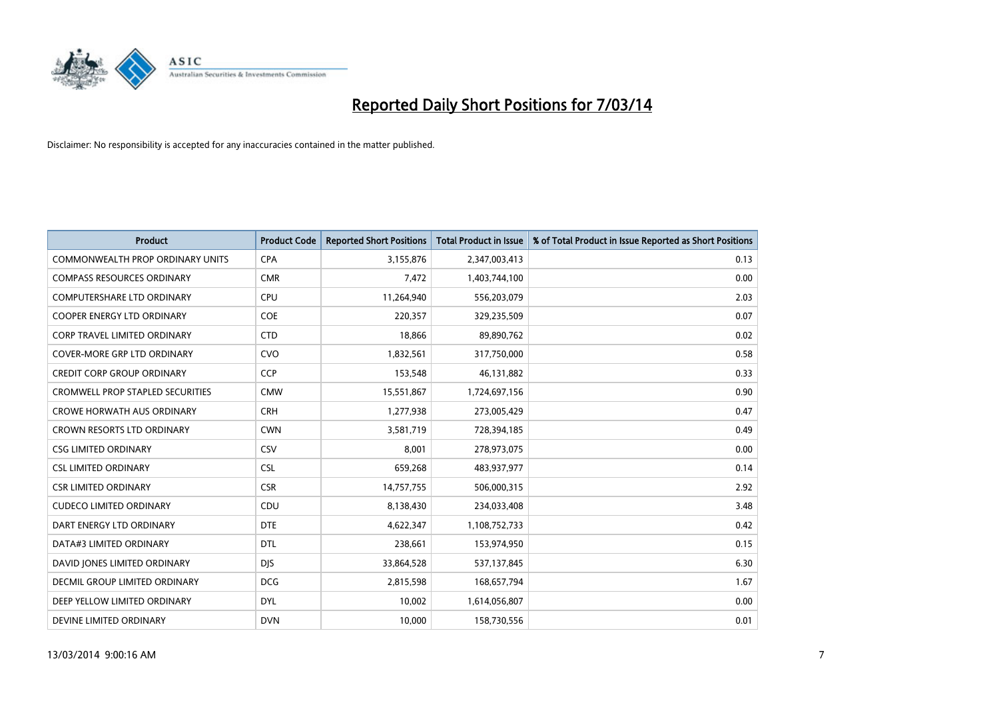

| <b>Product</b>                          | <b>Product Code</b> | <b>Reported Short Positions</b> | <b>Total Product in Issue</b> | % of Total Product in Issue Reported as Short Positions |
|-----------------------------------------|---------------------|---------------------------------|-------------------------------|---------------------------------------------------------|
| <b>COMMONWEALTH PROP ORDINARY UNITS</b> | <b>CPA</b>          | 3,155,876                       | 2,347,003,413                 | 0.13                                                    |
| <b>COMPASS RESOURCES ORDINARY</b>       | <b>CMR</b>          | 7,472                           | 1,403,744,100                 | 0.00                                                    |
| <b>COMPUTERSHARE LTD ORDINARY</b>       | <b>CPU</b>          | 11,264,940                      | 556,203,079                   | 2.03                                                    |
| COOPER ENERGY LTD ORDINARY              | <b>COE</b>          | 220,357                         | 329,235,509                   | 0.07                                                    |
| <b>CORP TRAVEL LIMITED ORDINARY</b>     | <b>CTD</b>          | 18,866                          | 89,890,762                    | 0.02                                                    |
| <b>COVER-MORE GRP LTD ORDINARY</b>      | <b>CVO</b>          | 1,832,561                       | 317,750,000                   | 0.58                                                    |
| <b>CREDIT CORP GROUP ORDINARY</b>       | <b>CCP</b>          | 153,548                         | 46,131,882                    | 0.33                                                    |
| <b>CROMWELL PROP STAPLED SECURITIES</b> | <b>CMW</b>          | 15,551,867                      | 1,724,697,156                 | 0.90                                                    |
| <b>CROWE HORWATH AUS ORDINARY</b>       | <b>CRH</b>          | 1,277,938                       | 273,005,429                   | 0.47                                                    |
| <b>CROWN RESORTS LTD ORDINARY</b>       | <b>CWN</b>          | 3,581,719                       | 728,394,185                   | 0.49                                                    |
| <b>CSG LIMITED ORDINARY</b>             | CSV                 | 8,001                           | 278,973,075                   | 0.00                                                    |
| <b>CSL LIMITED ORDINARY</b>             | <b>CSL</b>          | 659,268                         | 483,937,977                   | 0.14                                                    |
| <b>CSR LIMITED ORDINARY</b>             | <b>CSR</b>          | 14,757,755                      | 506,000,315                   | 2.92                                                    |
| <b>CUDECO LIMITED ORDINARY</b>          | CDU                 | 8,138,430                       | 234,033,408                   | 3.48                                                    |
| DART ENERGY LTD ORDINARY                | <b>DTE</b>          | 4,622,347                       | 1,108,752,733                 | 0.42                                                    |
| DATA#3 LIMITED ORDINARY                 | <b>DTL</b>          | 238,661                         | 153,974,950                   | 0.15                                                    |
| DAVID JONES LIMITED ORDINARY            | <b>DJS</b>          | 33,864,528                      | 537,137,845                   | 6.30                                                    |
| <b>DECMIL GROUP LIMITED ORDINARY</b>    | <b>DCG</b>          | 2,815,598                       | 168,657,794                   | 1.67                                                    |
| DEEP YELLOW LIMITED ORDINARY            | <b>DYL</b>          | 10,002                          | 1,614,056,807                 | 0.00                                                    |
| DEVINE LIMITED ORDINARY                 | <b>DVN</b>          | 10.000                          | 158,730,556                   | 0.01                                                    |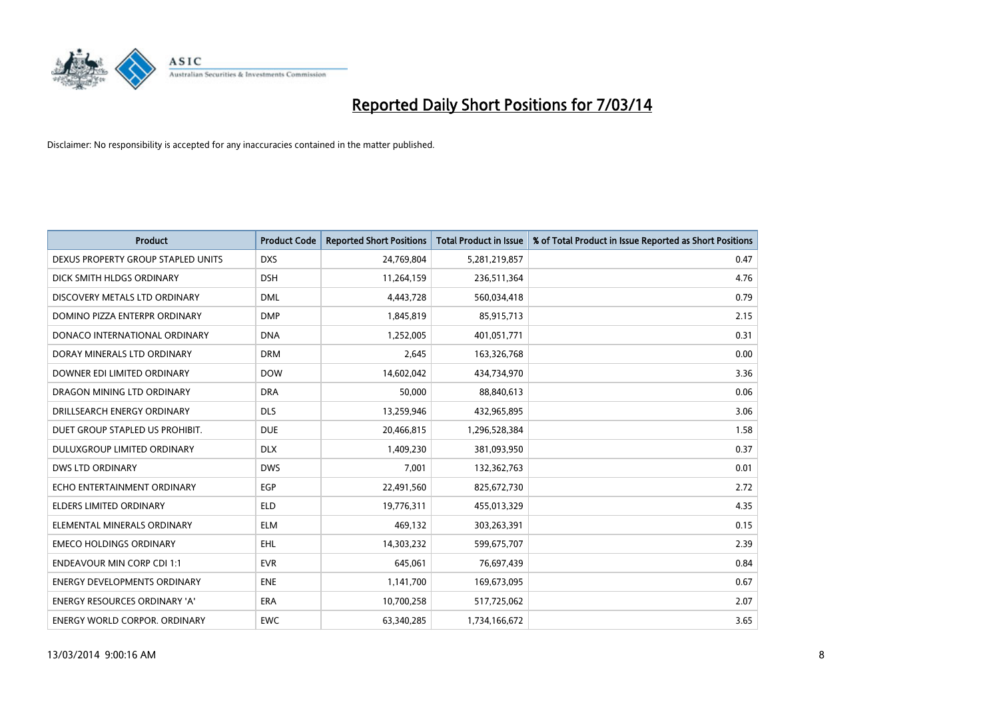

| <b>Product</b>                       | <b>Product Code</b> | <b>Reported Short Positions</b> | <b>Total Product in Issue</b> | % of Total Product in Issue Reported as Short Positions |
|--------------------------------------|---------------------|---------------------------------|-------------------------------|---------------------------------------------------------|
| DEXUS PROPERTY GROUP STAPLED UNITS   | <b>DXS</b>          | 24,769,804                      | 5,281,219,857                 | 0.47                                                    |
| DICK SMITH HLDGS ORDINARY            | <b>DSH</b>          | 11,264,159                      | 236,511,364                   | 4.76                                                    |
| DISCOVERY METALS LTD ORDINARY        | <b>DML</b>          | 4,443,728                       | 560,034,418                   | 0.79                                                    |
| DOMINO PIZZA ENTERPR ORDINARY        | <b>DMP</b>          | 1,845,819                       | 85,915,713                    | 2.15                                                    |
| DONACO INTERNATIONAL ORDINARY        | <b>DNA</b>          | 1,252,005                       | 401,051,771                   | 0.31                                                    |
| DORAY MINERALS LTD ORDINARY          | <b>DRM</b>          | 2,645                           | 163,326,768                   | 0.00                                                    |
| DOWNER EDI LIMITED ORDINARY          | <b>DOW</b>          | 14,602,042                      | 434,734,970                   | 3.36                                                    |
| DRAGON MINING LTD ORDINARY           | <b>DRA</b>          | 50,000                          | 88,840,613                    | 0.06                                                    |
| DRILLSEARCH ENERGY ORDINARY          | <b>DLS</b>          | 13,259,946                      | 432,965,895                   | 3.06                                                    |
| DUET GROUP STAPLED US PROHIBIT.      | <b>DUE</b>          | 20,466,815                      | 1,296,528,384                 | 1.58                                                    |
| DULUXGROUP LIMITED ORDINARY          | <b>DLX</b>          | 1,409,230                       | 381,093,950                   | 0.37                                                    |
| <b>DWS LTD ORDINARY</b>              | <b>DWS</b>          | 7,001                           | 132,362,763                   | 0.01                                                    |
| ECHO ENTERTAINMENT ORDINARY          | EGP                 | 22,491,560                      | 825,672,730                   | 2.72                                                    |
| <b>ELDERS LIMITED ORDINARY</b>       | <b>ELD</b>          | 19,776,311                      | 455,013,329                   | 4.35                                                    |
| ELEMENTAL MINERALS ORDINARY          | <b>ELM</b>          | 469,132                         | 303,263,391                   | 0.15                                                    |
| <b>EMECO HOLDINGS ORDINARY</b>       | <b>EHL</b>          | 14,303,232                      | 599,675,707                   | 2.39                                                    |
| <b>ENDEAVOUR MIN CORP CDI 1:1</b>    | <b>EVR</b>          | 645,061                         | 76,697,439                    | 0.84                                                    |
| ENERGY DEVELOPMENTS ORDINARY         | <b>ENE</b>          | 1,141,700                       | 169,673,095                   | 0.67                                                    |
| <b>ENERGY RESOURCES ORDINARY 'A'</b> | <b>ERA</b>          | 10,700,258                      | 517,725,062                   | 2.07                                                    |
| <b>ENERGY WORLD CORPOR, ORDINARY</b> | <b>EWC</b>          | 63,340,285                      | 1,734,166,672                 | 3.65                                                    |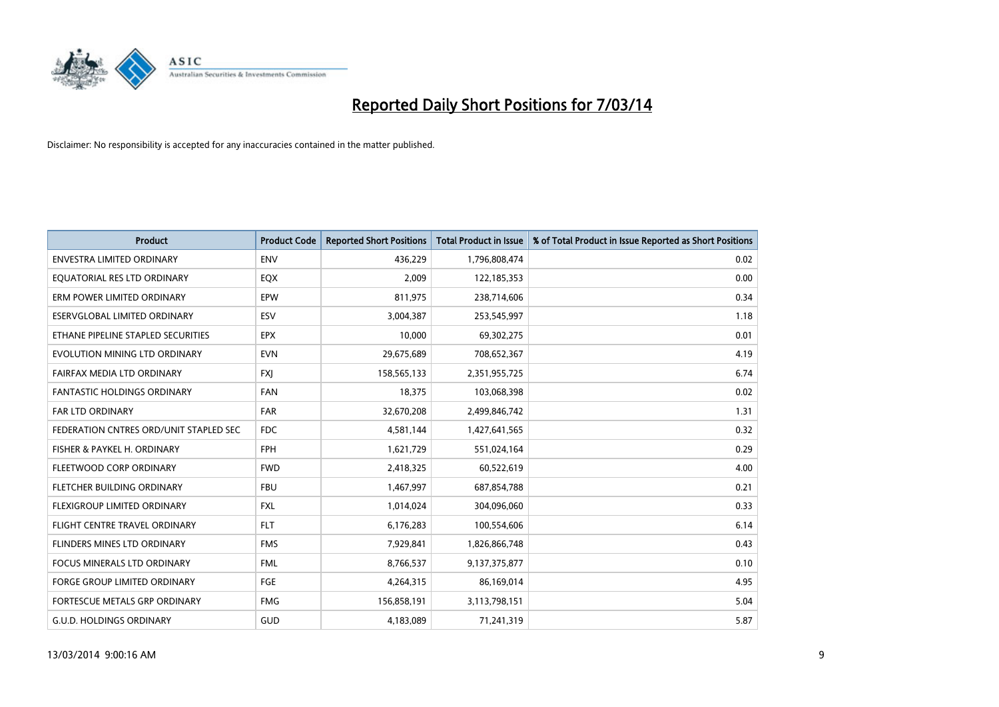

| <b>Product</b>                         | <b>Product Code</b> | <b>Reported Short Positions</b> | <b>Total Product in Issue</b> | % of Total Product in Issue Reported as Short Positions |
|----------------------------------------|---------------------|---------------------------------|-------------------------------|---------------------------------------------------------|
| <b>ENVESTRA LIMITED ORDINARY</b>       | <b>ENV</b>          | 436,229                         | 1,796,808,474                 | 0.02                                                    |
| EQUATORIAL RES LTD ORDINARY            | EQX                 | 2,009                           | 122,185,353                   | 0.00                                                    |
| ERM POWER LIMITED ORDINARY             | EPW                 | 811,975                         | 238,714,606                   | 0.34                                                    |
| ESERVGLOBAL LIMITED ORDINARY           | ESV                 | 3,004,387                       | 253,545,997                   | 1.18                                                    |
| ETHANE PIPELINE STAPLED SECURITIES     | <b>EPX</b>          | 10,000                          | 69,302,275                    | 0.01                                                    |
| EVOLUTION MINING LTD ORDINARY          | <b>EVN</b>          | 29,675,689                      | 708,652,367                   | 4.19                                                    |
| FAIRFAX MEDIA LTD ORDINARY             | <b>FXI</b>          | 158,565,133                     | 2,351,955,725                 | 6.74                                                    |
| FANTASTIC HOLDINGS ORDINARY            | <b>FAN</b>          | 18,375                          | 103,068,398                   | 0.02                                                    |
| <b>FAR LTD ORDINARY</b>                | <b>FAR</b>          | 32,670,208                      | 2,499,846,742                 | 1.31                                                    |
| FEDERATION CNTRES ORD/UNIT STAPLED SEC | FDC                 | 4,581,144                       | 1,427,641,565                 | 0.32                                                    |
| FISHER & PAYKEL H. ORDINARY            | <b>FPH</b>          | 1,621,729                       | 551,024,164                   | 0.29                                                    |
| FLEETWOOD CORP ORDINARY                | <b>FWD</b>          | 2,418,325                       | 60,522,619                    | 4.00                                                    |
| FLETCHER BUILDING ORDINARY             | <b>FBU</b>          | 1,467,997                       | 687,854,788                   | 0.21                                                    |
| <b>FLEXIGROUP LIMITED ORDINARY</b>     | <b>FXL</b>          | 1,014,024                       | 304,096,060                   | 0.33                                                    |
| FLIGHT CENTRE TRAVEL ORDINARY          | <b>FLT</b>          | 6,176,283                       | 100,554,606                   | 6.14                                                    |
| FLINDERS MINES LTD ORDINARY            | <b>FMS</b>          | 7,929,841                       | 1,826,866,748                 | 0.43                                                    |
| FOCUS MINERALS LTD ORDINARY            | <b>FML</b>          | 8,766,537                       | 9,137,375,877                 | 0.10                                                    |
| FORGE GROUP LIMITED ORDINARY           | FGE                 | 4,264,315                       | 86,169,014                    | 4.95                                                    |
| FORTESCUE METALS GRP ORDINARY          | <b>FMG</b>          | 156,858,191                     | 3,113,798,151                 | 5.04                                                    |
| <b>G.U.D. HOLDINGS ORDINARY</b>        | GUD                 | 4,183,089                       | 71,241,319                    | 5.87                                                    |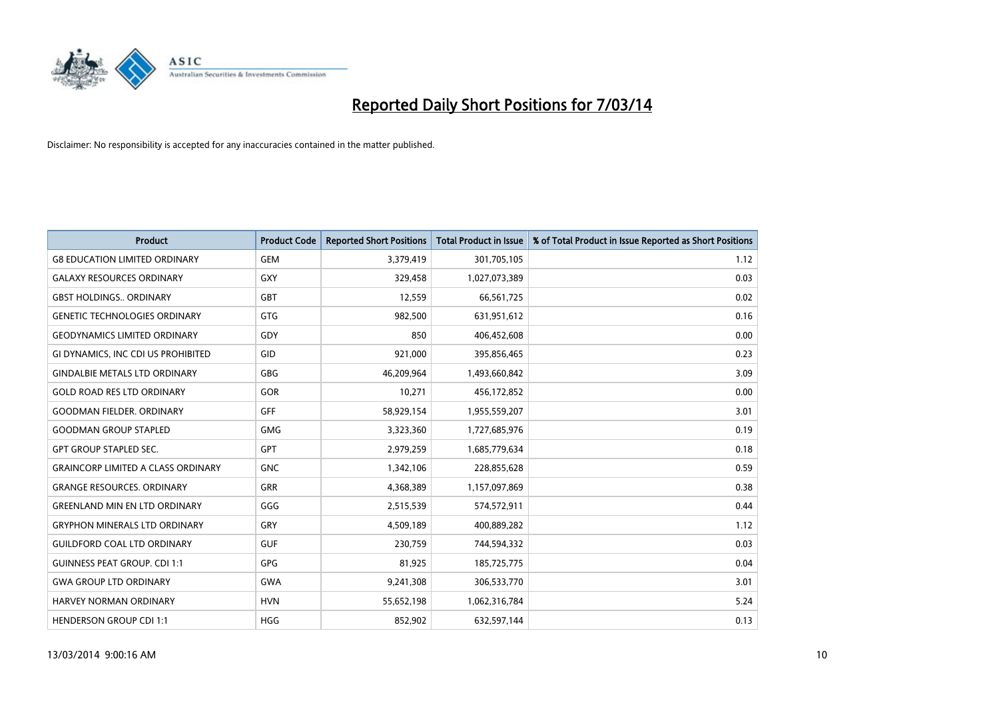

| <b>Product</b>                            | <b>Product Code</b> | <b>Reported Short Positions</b> | <b>Total Product in Issue</b> | % of Total Product in Issue Reported as Short Positions |
|-------------------------------------------|---------------------|---------------------------------|-------------------------------|---------------------------------------------------------|
| <b>G8 EDUCATION LIMITED ORDINARY</b>      | <b>GEM</b>          | 3,379,419                       | 301,705,105                   | 1.12                                                    |
| <b>GALAXY RESOURCES ORDINARY</b>          | <b>GXY</b>          | 329,458                         | 1,027,073,389                 | 0.03                                                    |
| <b>GBST HOLDINGS ORDINARY</b>             | GBT                 | 12,559                          | 66,561,725                    | 0.02                                                    |
| <b>GENETIC TECHNOLOGIES ORDINARY</b>      | <b>GTG</b>          | 982,500                         | 631,951,612                   | 0.16                                                    |
| <b>GEODYNAMICS LIMITED ORDINARY</b>       | GDY                 | 850                             | 406,452,608                   | 0.00                                                    |
| GI DYNAMICS, INC CDI US PROHIBITED        | GID                 | 921,000                         | 395,856,465                   | 0.23                                                    |
| <b>GINDALBIE METALS LTD ORDINARY</b>      | <b>GBG</b>          | 46,209,964                      | 1,493,660,842                 | 3.09                                                    |
| <b>GOLD ROAD RES LTD ORDINARY</b>         | <b>GOR</b>          | 10,271                          | 456,172,852                   | 0.00                                                    |
| <b>GOODMAN FIELDER, ORDINARY</b>          | <b>GFF</b>          | 58,929,154                      | 1,955,559,207                 | 3.01                                                    |
| <b>GOODMAN GROUP STAPLED</b>              | <b>GMG</b>          | 3,323,360                       | 1,727,685,976                 | 0.19                                                    |
| <b>GPT GROUP STAPLED SEC.</b>             | <b>GPT</b>          | 2,979,259                       | 1,685,779,634                 | 0.18                                                    |
| <b>GRAINCORP LIMITED A CLASS ORDINARY</b> | <b>GNC</b>          | 1,342,106                       | 228,855,628                   | 0.59                                                    |
| <b>GRANGE RESOURCES, ORDINARY</b>         | GRR                 | 4,368,389                       | 1,157,097,869                 | 0.38                                                    |
| <b>GREENLAND MIN EN LTD ORDINARY</b>      | GGG                 | 2,515,539                       | 574,572,911                   | 0.44                                                    |
| <b>GRYPHON MINERALS LTD ORDINARY</b>      | GRY                 | 4,509,189                       | 400,889,282                   | 1.12                                                    |
| <b>GUILDFORD COAL LTD ORDINARY</b>        | <b>GUF</b>          | 230,759                         | 744,594,332                   | 0.03                                                    |
| <b>GUINNESS PEAT GROUP. CDI 1:1</b>       | GPG                 | 81,925                          | 185,725,775                   | 0.04                                                    |
| <b>GWA GROUP LTD ORDINARY</b>             | <b>GWA</b>          | 9,241,308                       | 306,533,770                   | 3.01                                                    |
| HARVEY NORMAN ORDINARY                    | <b>HVN</b>          | 55,652,198                      | 1,062,316,784                 | 5.24                                                    |
| <b>HENDERSON GROUP CDI 1:1</b>            | <b>HGG</b>          | 852.902                         | 632,597,144                   | 0.13                                                    |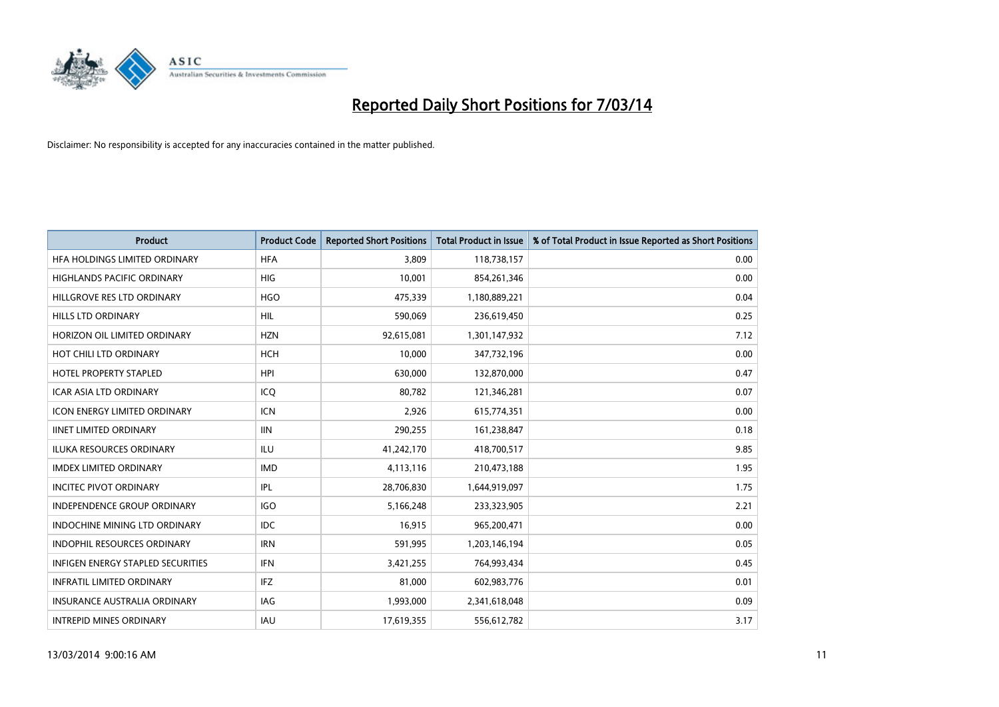

| <b>Product</b>                           | <b>Product Code</b> | <b>Reported Short Positions</b> | <b>Total Product in Issue</b> | % of Total Product in Issue Reported as Short Positions |
|------------------------------------------|---------------------|---------------------------------|-------------------------------|---------------------------------------------------------|
| HFA HOLDINGS LIMITED ORDINARY            | <b>HFA</b>          | 3,809                           | 118,738,157                   | 0.00                                                    |
| HIGHLANDS PACIFIC ORDINARY               | <b>HIG</b>          | 10,001                          | 854,261,346                   | 0.00                                                    |
| HILLGROVE RES LTD ORDINARY               | <b>HGO</b>          | 475,339                         | 1,180,889,221                 | 0.04                                                    |
| HILLS LTD ORDINARY                       | HIL                 | 590,069                         | 236,619,450                   | 0.25                                                    |
| HORIZON OIL LIMITED ORDINARY             | <b>HZN</b>          | 92,615,081                      | 1,301,147,932                 | 7.12                                                    |
| HOT CHILI LTD ORDINARY                   | <b>HCH</b>          | 10,000                          | 347,732,196                   | 0.00                                                    |
| <b>HOTEL PROPERTY STAPLED</b>            | <b>HPI</b>          | 630.000                         | 132,870,000                   | 0.47                                                    |
| <b>ICAR ASIA LTD ORDINARY</b>            | ICQ                 | 80,782                          | 121,346,281                   | 0.07                                                    |
| ICON ENERGY LIMITED ORDINARY             | <b>ICN</b>          | 2,926                           | 615,774,351                   | 0.00                                                    |
| <b>IINET LIMITED ORDINARY</b>            | <b>IIN</b>          | 290,255                         | 161,238,847                   | 0.18                                                    |
| ILUKA RESOURCES ORDINARY                 | ILU                 | 41,242,170                      | 418,700,517                   | 9.85                                                    |
| <b>IMDEX LIMITED ORDINARY</b>            | <b>IMD</b>          | 4,113,116                       | 210,473,188                   | 1.95                                                    |
| <b>INCITEC PIVOT ORDINARY</b>            | IPL                 | 28,706,830                      | 1,644,919,097                 | 1.75                                                    |
| <b>INDEPENDENCE GROUP ORDINARY</b>       | <b>IGO</b>          | 5,166,248                       | 233,323,905                   | 2.21                                                    |
| <b>INDOCHINE MINING LTD ORDINARY</b>     | <b>IDC</b>          | 16,915                          | 965,200,471                   | 0.00                                                    |
| INDOPHIL RESOURCES ORDINARY              | <b>IRN</b>          | 591,995                         | 1,203,146,194                 | 0.05                                                    |
| <b>INFIGEN ENERGY STAPLED SECURITIES</b> | <b>IFN</b>          | 3,421,255                       | 764,993,434                   | 0.45                                                    |
| <b>INFRATIL LIMITED ORDINARY</b>         | IFZ                 | 81,000                          | 602,983,776                   | 0.01                                                    |
| <b>INSURANCE AUSTRALIA ORDINARY</b>      | IAG                 | 1,993,000                       | 2,341,618,048                 | 0.09                                                    |
| <b>INTREPID MINES ORDINARY</b>           | <b>IAU</b>          | 17,619,355                      | 556,612,782                   | 3.17                                                    |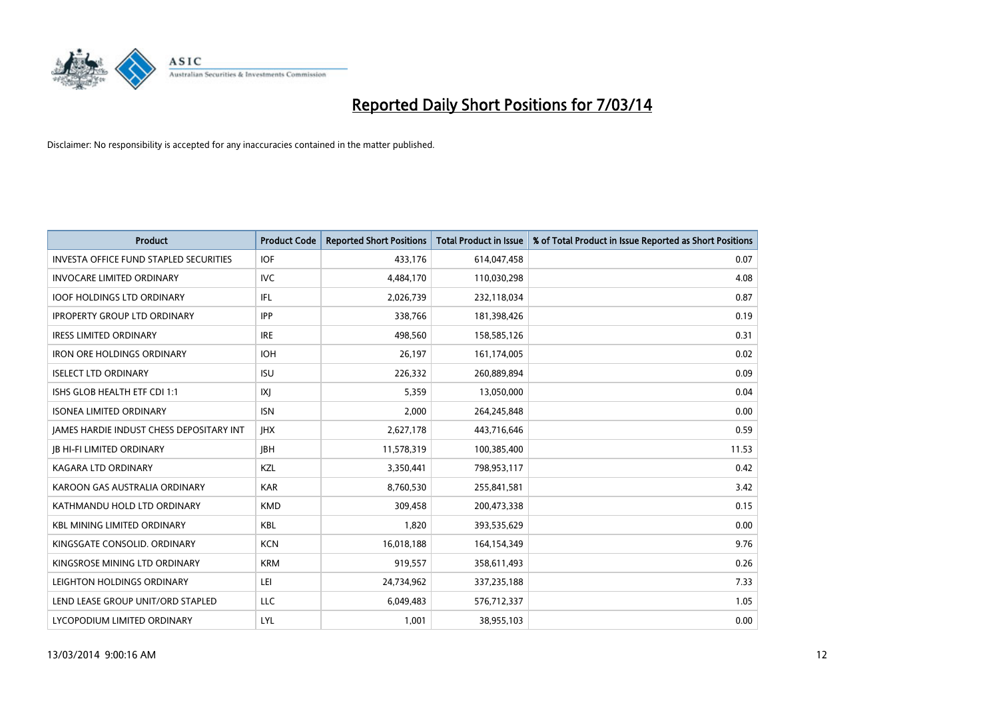

| <b>Product</b>                                  | <b>Product Code</b> | <b>Reported Short Positions</b> | <b>Total Product in Issue</b> | % of Total Product in Issue Reported as Short Positions |
|-------------------------------------------------|---------------------|---------------------------------|-------------------------------|---------------------------------------------------------|
| <b>INVESTA OFFICE FUND STAPLED SECURITIES</b>   | <b>IOF</b>          | 433,176                         | 614,047,458                   | 0.07                                                    |
| <b>INVOCARE LIMITED ORDINARY</b>                | IVC                 | 4,484,170                       | 110,030,298                   | 4.08                                                    |
| <b>IOOF HOLDINGS LTD ORDINARY</b>               | IFL                 | 2,026,739                       | 232,118,034                   | 0.87                                                    |
| <b>IPROPERTY GROUP LTD ORDINARY</b>             | <b>IPP</b>          | 338,766                         | 181,398,426                   | 0.19                                                    |
| <b>IRESS LIMITED ORDINARY</b>                   | <b>IRE</b>          | 498.560                         | 158,585,126                   | 0.31                                                    |
| <b>IRON ORE HOLDINGS ORDINARY</b>               | <b>IOH</b>          | 26,197                          | 161,174,005                   | 0.02                                                    |
| <b>ISELECT LTD ORDINARY</b>                     | <b>ISU</b>          | 226,332                         | 260,889,894                   | 0.09                                                    |
| ISHS GLOB HEALTH ETF CDI 1:1                    | X                   | 5,359                           | 13,050,000                    | 0.04                                                    |
| <b>ISONEA LIMITED ORDINARY</b>                  | <b>ISN</b>          | 2,000                           | 264,245,848                   | 0.00                                                    |
| <b>IAMES HARDIE INDUST CHESS DEPOSITARY INT</b> | <b>IHX</b>          | 2,627,178                       | 443,716,646                   | 0.59                                                    |
| <b>JB HI-FI LIMITED ORDINARY</b>                | <b>IBH</b>          | 11,578,319                      | 100,385,400                   | 11.53                                                   |
| <b>KAGARA LTD ORDINARY</b>                      | KZL                 | 3,350,441                       | 798,953,117                   | 0.42                                                    |
| KAROON GAS AUSTRALIA ORDINARY                   | <b>KAR</b>          | 8,760,530                       | 255,841,581                   | 3.42                                                    |
| KATHMANDU HOLD LTD ORDINARY                     | <b>KMD</b>          | 309.458                         | 200,473,338                   | 0.15                                                    |
| <b>KBL MINING LIMITED ORDINARY</b>              | <b>KBL</b>          | 1,820                           | 393,535,629                   | 0.00                                                    |
| KINGSGATE CONSOLID. ORDINARY                    | <b>KCN</b>          | 16,018,188                      | 164,154,349                   | 9.76                                                    |
| KINGSROSE MINING LTD ORDINARY                   | <b>KRM</b>          | 919,557                         | 358,611,493                   | 0.26                                                    |
| LEIGHTON HOLDINGS ORDINARY                      | LEI                 | 24,734,962                      | 337,235,188                   | 7.33                                                    |
| LEND LEASE GROUP UNIT/ORD STAPLED               | <b>LLC</b>          | 6,049,483                       | 576,712,337                   | 1.05                                                    |
| LYCOPODIUM LIMITED ORDINARY                     | LYL                 | 1,001                           | 38,955,103                    | 0.00                                                    |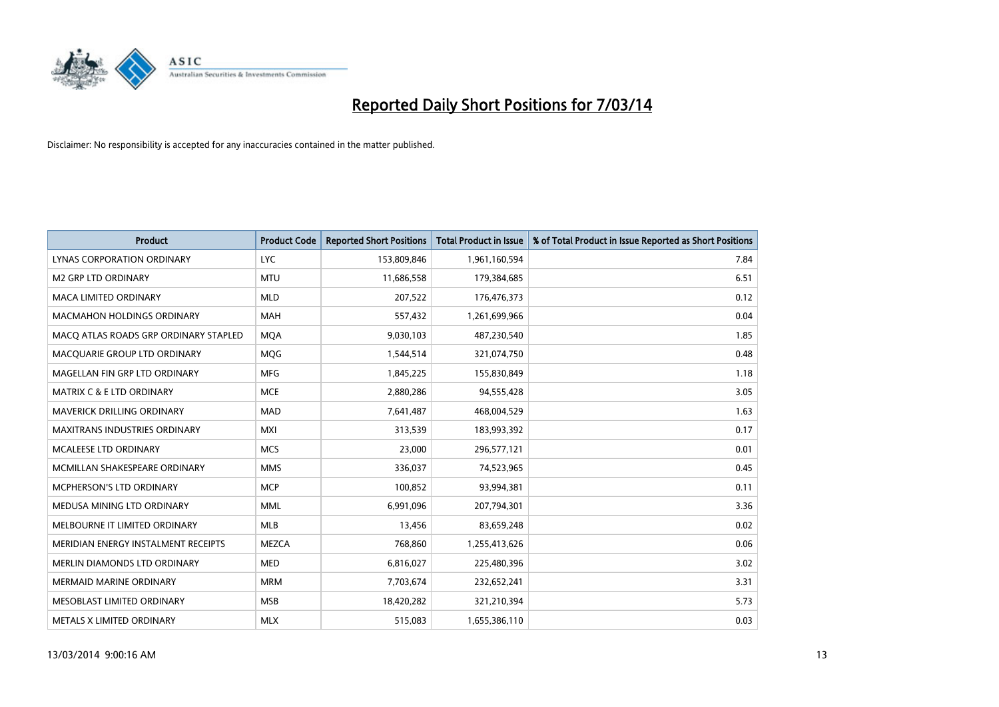

| <b>Product</b>                        | <b>Product Code</b> | <b>Reported Short Positions</b> | <b>Total Product in Issue</b> | % of Total Product in Issue Reported as Short Positions |
|---------------------------------------|---------------------|---------------------------------|-------------------------------|---------------------------------------------------------|
| LYNAS CORPORATION ORDINARY            | <b>LYC</b>          | 153,809,846                     | 1,961,160,594                 | 7.84                                                    |
| <b>M2 GRP LTD ORDINARY</b>            | <b>MTU</b>          | 11,686,558                      | 179,384,685                   | 6.51                                                    |
| <b>MACA LIMITED ORDINARY</b>          | <b>MLD</b>          | 207,522                         | 176,476,373                   | 0.12                                                    |
| MACMAHON HOLDINGS ORDINARY            | <b>MAH</b>          | 557,432                         | 1,261,699,966                 | 0.04                                                    |
| MACO ATLAS ROADS GRP ORDINARY STAPLED | <b>MOA</b>          | 9,030,103                       | 487,230,540                   | 1.85                                                    |
| MACQUARIE GROUP LTD ORDINARY          | <b>MOG</b>          | 1,544,514                       | 321,074,750                   | 0.48                                                    |
| MAGELLAN FIN GRP LTD ORDINARY         | <b>MFG</b>          | 1,845,225                       | 155,830,849                   | 1.18                                                    |
| MATRIX C & E LTD ORDINARY             | <b>MCE</b>          | 2,880,286                       | 94,555,428                    | 3.05                                                    |
| MAVERICK DRILLING ORDINARY            | <b>MAD</b>          | 7,641,487                       | 468,004,529                   | 1.63                                                    |
| <b>MAXITRANS INDUSTRIES ORDINARY</b>  | <b>MXI</b>          | 313,539                         | 183,993,392                   | 0.17                                                    |
| MCALEESE LTD ORDINARY                 | <b>MCS</b>          | 23,000                          | 296,577,121                   | 0.01                                                    |
| MCMILLAN SHAKESPEARE ORDINARY         | <b>MMS</b>          | 336,037                         | 74,523,965                    | 0.45                                                    |
| MCPHERSON'S LTD ORDINARY              | <b>MCP</b>          | 100,852                         | 93,994,381                    | 0.11                                                    |
| MEDUSA MINING LTD ORDINARY            | <b>MML</b>          | 6,991,096                       | 207,794,301                   | 3.36                                                    |
| MELBOURNE IT LIMITED ORDINARY         | <b>MLB</b>          | 13,456                          | 83,659,248                    | 0.02                                                    |
| MERIDIAN ENERGY INSTALMENT RECEIPTS   | <b>MEZCA</b>        | 768,860                         | 1,255,413,626                 | 0.06                                                    |
| MERLIN DIAMONDS LTD ORDINARY          | <b>MED</b>          | 6,816,027                       | 225,480,396                   | 3.02                                                    |
| <b>MERMAID MARINE ORDINARY</b>        | <b>MRM</b>          | 7,703,674                       | 232,652,241                   | 3.31                                                    |
| MESOBLAST LIMITED ORDINARY            | <b>MSB</b>          | 18,420,282                      | 321,210,394                   | 5.73                                                    |
| METALS X LIMITED ORDINARY             | <b>MLX</b>          | 515,083                         | 1,655,386,110                 | 0.03                                                    |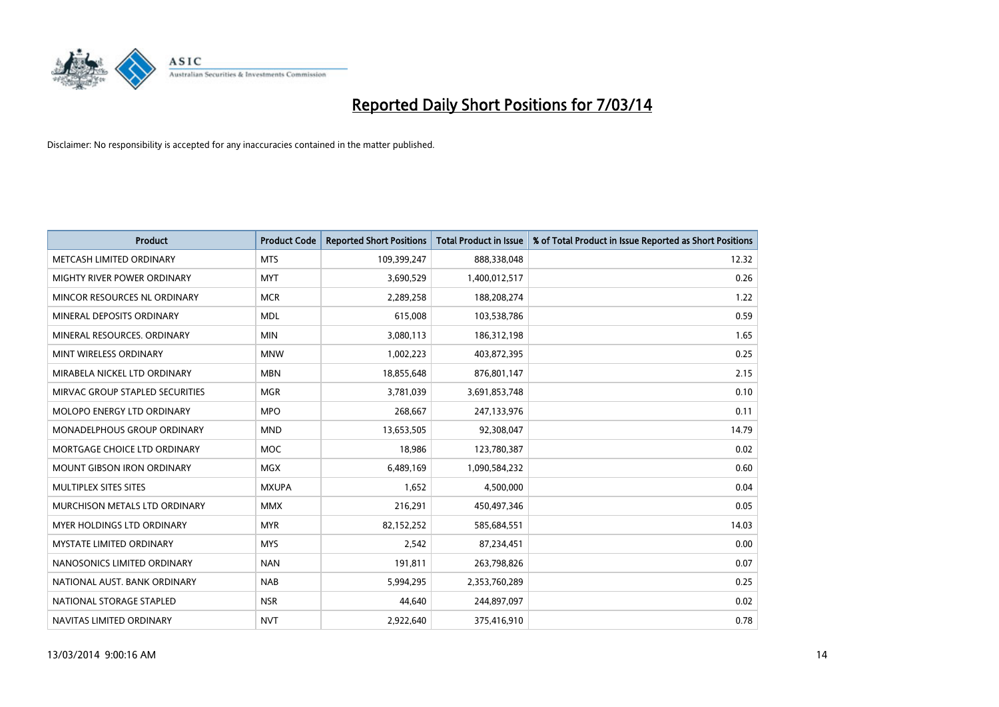

| <b>Product</b>                       | <b>Product Code</b> | <b>Reported Short Positions</b> | <b>Total Product in Issue</b> | % of Total Product in Issue Reported as Short Positions |
|--------------------------------------|---------------------|---------------------------------|-------------------------------|---------------------------------------------------------|
| METCASH LIMITED ORDINARY             | <b>MTS</b>          | 109,399,247                     | 888,338,048                   | 12.32                                                   |
| MIGHTY RIVER POWER ORDINARY          | <b>MYT</b>          | 3,690,529                       | 1,400,012,517                 | 0.26                                                    |
| MINCOR RESOURCES NL ORDINARY         | <b>MCR</b>          | 2,289,258                       | 188,208,274                   | 1.22                                                    |
| MINERAL DEPOSITS ORDINARY            | <b>MDL</b>          | 615,008                         | 103,538,786                   | 0.59                                                    |
| MINERAL RESOURCES, ORDINARY          | <b>MIN</b>          | 3,080,113                       | 186,312,198                   | 1.65                                                    |
| MINT WIRELESS ORDINARY               | <b>MNW</b>          | 1,002,223                       | 403,872,395                   | 0.25                                                    |
| MIRABELA NICKEL LTD ORDINARY         | <b>MBN</b>          | 18,855,648                      | 876,801,147                   | 2.15                                                    |
| MIRVAC GROUP STAPLED SECURITIES      | <b>MGR</b>          | 3,781,039                       | 3,691,853,748                 | 0.10                                                    |
| MOLOPO ENERGY LTD ORDINARY           | <b>MPO</b>          | 268,667                         | 247,133,976                   | 0.11                                                    |
| <b>MONADELPHOUS GROUP ORDINARY</b>   | <b>MND</b>          | 13,653,505                      | 92,308,047                    | 14.79                                                   |
| MORTGAGE CHOICE LTD ORDINARY         | <b>MOC</b>          | 18,986                          | 123,780,387                   | 0.02                                                    |
| <b>MOUNT GIBSON IRON ORDINARY</b>    | <b>MGX</b>          | 6,489,169                       | 1,090,584,232                 | 0.60                                                    |
| MULTIPLEX SITES SITES                | <b>MXUPA</b>        | 1,652                           | 4,500,000                     | 0.04                                                    |
| <b>MURCHISON METALS LTD ORDINARY</b> | <b>MMX</b>          | 216,291                         | 450,497,346                   | 0.05                                                    |
| <b>MYER HOLDINGS LTD ORDINARY</b>    | <b>MYR</b>          | 82,152,252                      | 585,684,551                   | 14.03                                                   |
| MYSTATE LIMITED ORDINARY             | <b>MYS</b>          | 2,542                           | 87,234,451                    | 0.00                                                    |
| NANOSONICS LIMITED ORDINARY          | <b>NAN</b>          | 191,811                         | 263,798,826                   | 0.07                                                    |
| NATIONAL AUST. BANK ORDINARY         | <b>NAB</b>          | 5,994,295                       | 2,353,760,289                 | 0.25                                                    |
| NATIONAL STORAGE STAPLED             | <b>NSR</b>          | 44.640                          | 244,897,097                   | 0.02                                                    |
| NAVITAS LIMITED ORDINARY             | <b>NVT</b>          | 2.922.640                       | 375,416,910                   | 0.78                                                    |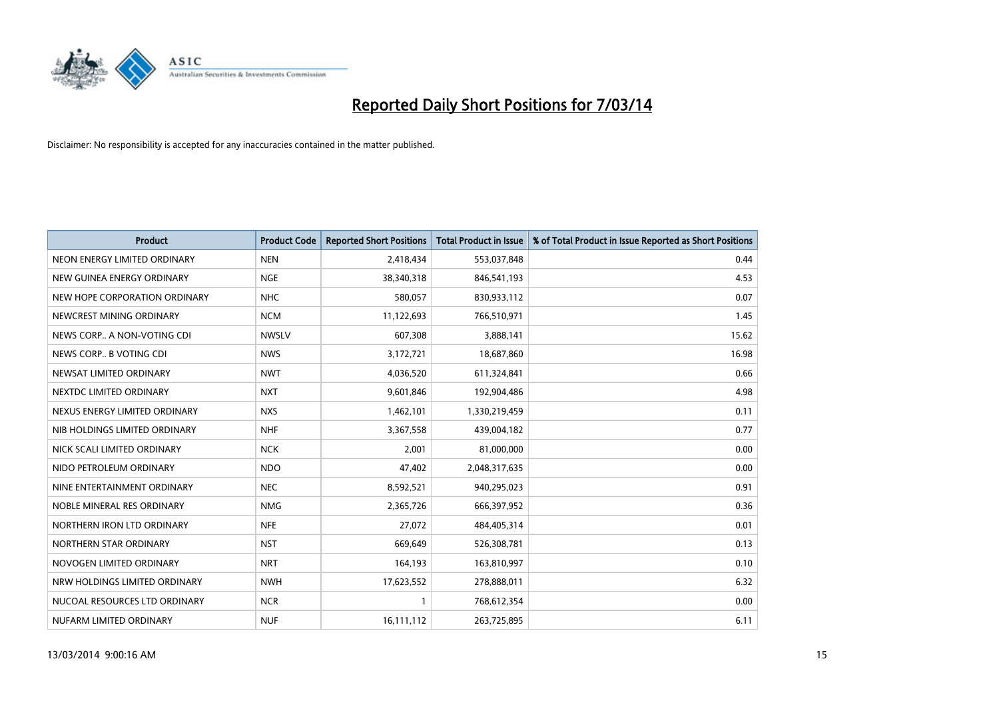

| <b>Product</b>                | <b>Product Code</b> | <b>Reported Short Positions</b> | <b>Total Product in Issue</b> | % of Total Product in Issue Reported as Short Positions |
|-------------------------------|---------------------|---------------------------------|-------------------------------|---------------------------------------------------------|
| NEON ENERGY LIMITED ORDINARY  | <b>NEN</b>          | 2,418,434                       | 553,037,848                   | 0.44                                                    |
| NEW GUINEA ENERGY ORDINARY    | <b>NGE</b>          | 38,340,318                      | 846,541,193                   | 4.53                                                    |
| NEW HOPE CORPORATION ORDINARY | <b>NHC</b>          | 580,057                         | 830,933,112                   | 0.07                                                    |
| NEWCREST MINING ORDINARY      | <b>NCM</b>          | 11,122,693                      | 766,510,971                   | 1.45                                                    |
| NEWS CORP A NON-VOTING CDI    | <b>NWSLV</b>        | 607,308                         | 3,888,141                     | 15.62                                                   |
| NEWS CORP B VOTING CDI        | <b>NWS</b>          | 3,172,721                       | 18,687,860                    | 16.98                                                   |
| NEWSAT LIMITED ORDINARY       | <b>NWT</b>          | 4,036,520                       | 611,324,841                   | 0.66                                                    |
| NEXTDC LIMITED ORDINARY       | <b>NXT</b>          | 9,601,846                       | 192,904,486                   | 4.98                                                    |
| NEXUS ENERGY LIMITED ORDINARY | <b>NXS</b>          | 1,462,101                       | 1,330,219,459                 | 0.11                                                    |
| NIB HOLDINGS LIMITED ORDINARY | <b>NHF</b>          | 3,367,558                       | 439,004,182                   | 0.77                                                    |
| NICK SCALI LIMITED ORDINARY   | <b>NCK</b>          | 2,001                           | 81,000,000                    | 0.00                                                    |
| NIDO PETROLEUM ORDINARY       | <b>NDO</b>          | 47,402                          | 2,048,317,635                 | 0.00                                                    |
| NINE ENTERTAINMENT ORDINARY   | <b>NEC</b>          | 8,592,521                       | 940,295,023                   | 0.91                                                    |
| NOBLE MINERAL RES ORDINARY    | <b>NMG</b>          | 2,365,726                       | 666,397,952                   | 0.36                                                    |
| NORTHERN IRON LTD ORDINARY    | <b>NFE</b>          | 27,072                          | 484,405,314                   | 0.01                                                    |
| NORTHERN STAR ORDINARY        | <b>NST</b>          | 669,649                         | 526,308,781                   | 0.13                                                    |
| NOVOGEN LIMITED ORDINARY      | <b>NRT</b>          | 164,193                         | 163,810,997                   | 0.10                                                    |
| NRW HOLDINGS LIMITED ORDINARY | <b>NWH</b>          | 17,623,552                      | 278,888,011                   | 6.32                                                    |
| NUCOAL RESOURCES LTD ORDINARY | <b>NCR</b>          |                                 | 768,612,354                   | 0.00                                                    |
| NUFARM LIMITED ORDINARY       | <b>NUF</b>          | 16,111,112                      | 263,725,895                   | 6.11                                                    |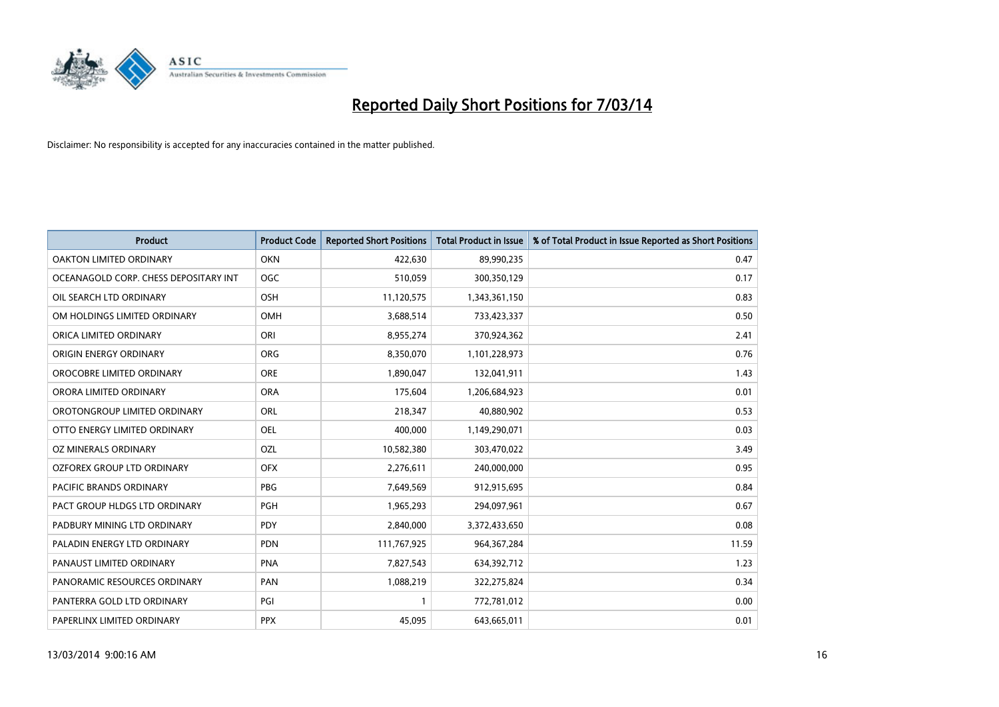

| <b>Product</b>                        | <b>Product Code</b> | <b>Reported Short Positions</b> | <b>Total Product in Issue</b> | % of Total Product in Issue Reported as Short Positions |
|---------------------------------------|---------------------|---------------------------------|-------------------------------|---------------------------------------------------------|
| <b>OAKTON LIMITED ORDINARY</b>        | <b>OKN</b>          | 422,630                         | 89,990,235                    | 0.47                                                    |
| OCEANAGOLD CORP. CHESS DEPOSITARY INT | <b>OGC</b>          | 510,059                         | 300,350,129                   | 0.17                                                    |
| OIL SEARCH LTD ORDINARY               | <b>OSH</b>          | 11,120,575                      | 1,343,361,150                 | 0.83                                                    |
| OM HOLDINGS LIMITED ORDINARY          | <b>OMH</b>          | 3,688,514                       | 733,423,337                   | 0.50                                                    |
| ORICA LIMITED ORDINARY                | ORI                 | 8,955,274                       | 370,924,362                   | 2.41                                                    |
| ORIGIN ENERGY ORDINARY                | <b>ORG</b>          | 8,350,070                       | 1,101,228,973                 | 0.76                                                    |
| OROCOBRE LIMITED ORDINARY             | <b>ORE</b>          | 1,890,047                       | 132,041,911                   | 1.43                                                    |
| ORORA LIMITED ORDINARY                | <b>ORA</b>          | 175,604                         | 1,206,684,923                 | 0.01                                                    |
| OROTONGROUP LIMITED ORDINARY          | <b>ORL</b>          | 218,347                         | 40,880,902                    | 0.53                                                    |
| OTTO ENERGY LIMITED ORDINARY          | <b>OEL</b>          | 400,000                         | 1,149,290,071                 | 0.03                                                    |
| OZ MINERALS ORDINARY                  | OZL                 | 10,582,380                      | 303,470,022                   | 3.49                                                    |
| <b>OZFOREX GROUP LTD ORDINARY</b>     | <b>OFX</b>          | 2,276,611                       | 240,000,000                   | 0.95                                                    |
| PACIFIC BRANDS ORDINARY               | <b>PBG</b>          | 7,649,569                       | 912,915,695                   | 0.84                                                    |
| PACT GROUP HLDGS LTD ORDINARY         | <b>PGH</b>          | 1,965,293                       | 294,097,961                   | 0.67                                                    |
| PADBURY MINING LTD ORDINARY           | <b>PDY</b>          | 2,840,000                       | 3,372,433,650                 | 0.08                                                    |
| PALADIN ENERGY LTD ORDINARY           | <b>PDN</b>          | 111,767,925                     | 964, 367, 284                 | 11.59                                                   |
| PANAUST LIMITED ORDINARY              | <b>PNA</b>          | 7,827,543                       | 634,392,712                   | 1.23                                                    |
| PANORAMIC RESOURCES ORDINARY          | PAN                 | 1,088,219                       | 322,275,824                   | 0.34                                                    |
| PANTERRA GOLD LTD ORDINARY            | PGI                 |                                 | 772,781,012                   | 0.00                                                    |
| PAPERLINX LIMITED ORDINARY            | <b>PPX</b>          | 45,095                          | 643,665,011                   | 0.01                                                    |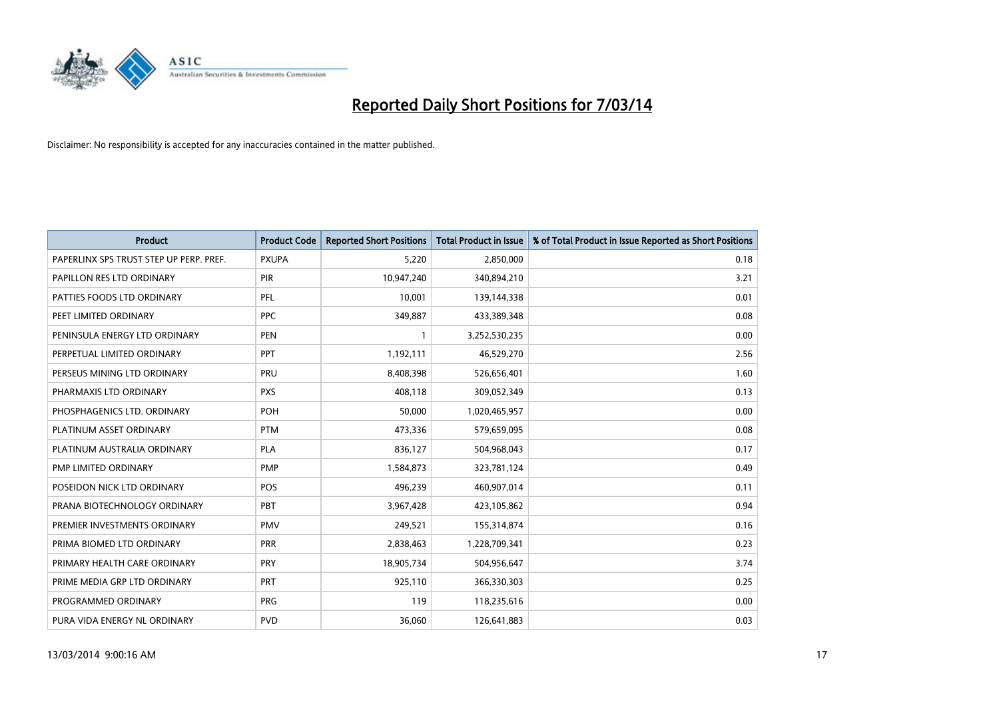

| <b>Product</b>                          | <b>Product Code</b> | <b>Reported Short Positions</b> | <b>Total Product in Issue</b> | % of Total Product in Issue Reported as Short Positions |
|-----------------------------------------|---------------------|---------------------------------|-------------------------------|---------------------------------------------------------|
| PAPERLINX SPS TRUST STEP UP PERP. PREF. | <b>PXUPA</b>        | 5,220                           | 2,850,000                     | 0.18                                                    |
| PAPILLON RES LTD ORDINARY               | <b>PIR</b>          | 10,947,240                      | 340,894,210                   | 3.21                                                    |
| PATTIES FOODS LTD ORDINARY              | <b>PFL</b>          | 10,001                          | 139,144,338                   | 0.01                                                    |
| PEET LIMITED ORDINARY                   | <b>PPC</b>          | 349,887                         | 433,389,348                   | 0.08                                                    |
| PENINSULA ENERGY LTD ORDINARY           | <b>PEN</b>          |                                 | 3,252,530,235                 | 0.00                                                    |
| PERPETUAL LIMITED ORDINARY              | PPT                 | 1,192,111                       | 46,529,270                    | 2.56                                                    |
| PERSEUS MINING LTD ORDINARY             | PRU                 | 8,408,398                       | 526,656,401                   | 1.60                                                    |
| PHARMAXIS LTD ORDINARY                  | <b>PXS</b>          | 408,118                         | 309,052,349                   | 0.13                                                    |
| PHOSPHAGENICS LTD. ORDINARY             | POH                 | 50,000                          | 1,020,465,957                 | 0.00                                                    |
| PLATINUM ASSET ORDINARY                 | <b>PTM</b>          | 473,336                         | 579,659,095                   | 0.08                                                    |
| PLATINUM AUSTRALIA ORDINARY             | <b>PLA</b>          | 836,127                         | 504,968,043                   | 0.17                                                    |
| PMP LIMITED ORDINARY                    | <b>PMP</b>          | 1,584,873                       | 323,781,124                   | 0.49                                                    |
| POSEIDON NICK LTD ORDINARY              | POS                 | 496,239                         | 460,907,014                   | 0.11                                                    |
| PRANA BIOTECHNOLOGY ORDINARY            | PBT                 | 3,967,428                       | 423,105,862                   | 0.94                                                    |
| PREMIER INVESTMENTS ORDINARY            | <b>PMV</b>          | 249,521                         | 155,314,874                   | 0.16                                                    |
| PRIMA BIOMED LTD ORDINARY               | <b>PRR</b>          | 2,838,463                       | 1,228,709,341                 | 0.23                                                    |
| PRIMARY HEALTH CARE ORDINARY            | <b>PRY</b>          | 18,905,734                      | 504,956,647                   | 3.74                                                    |
| PRIME MEDIA GRP LTD ORDINARY            | PRT                 | 925,110                         | 366,330,303                   | 0.25                                                    |
| PROGRAMMED ORDINARY                     | <b>PRG</b>          | 119                             | 118,235,616                   | 0.00                                                    |
| PURA VIDA ENERGY NL ORDINARY            | <b>PVD</b>          | 36.060                          | 126,641,883                   | 0.03                                                    |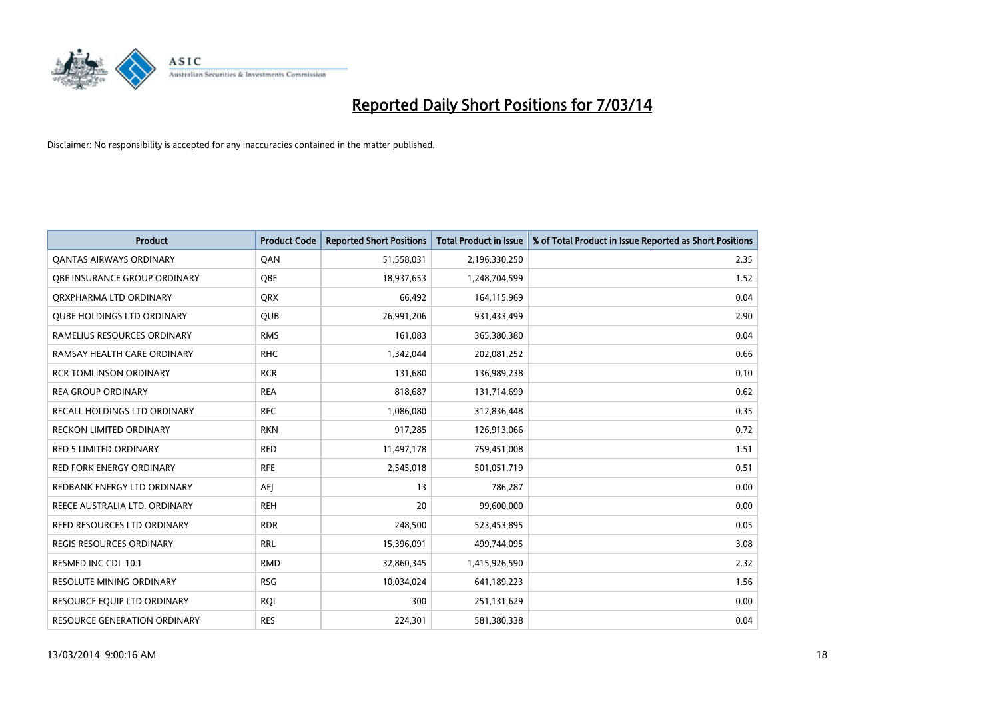

| <b>Product</b>                      | <b>Product Code</b> | <b>Reported Short Positions</b> | <b>Total Product in Issue</b> | % of Total Product in Issue Reported as Short Positions |
|-------------------------------------|---------------------|---------------------------------|-------------------------------|---------------------------------------------------------|
| <b>QANTAS AIRWAYS ORDINARY</b>      | QAN                 | 51,558,031                      | 2,196,330,250                 | 2.35                                                    |
| <b>OBE INSURANCE GROUP ORDINARY</b> | <b>OBE</b>          | 18,937,653                      | 1,248,704,599                 | 1.52                                                    |
| ORXPHARMA LTD ORDINARY              | <b>QRX</b>          | 66,492                          | 164,115,969                   | 0.04                                                    |
| <b>QUBE HOLDINGS LTD ORDINARY</b>   | QUB                 | 26,991,206                      | 931,433,499                   | 2.90                                                    |
| RAMELIUS RESOURCES ORDINARY         | <b>RMS</b>          | 161,083                         | 365,380,380                   | 0.04                                                    |
| RAMSAY HEALTH CARE ORDINARY         | <b>RHC</b>          | 1,342,044                       | 202,081,252                   | 0.66                                                    |
| <b>RCR TOMLINSON ORDINARY</b>       | <b>RCR</b>          | 131,680                         | 136,989,238                   | 0.10                                                    |
| <b>REA GROUP ORDINARY</b>           | <b>REA</b>          | 818,687                         | 131,714,699                   | 0.62                                                    |
| RECALL HOLDINGS LTD ORDINARY        | <b>REC</b>          | 1,086,080                       | 312,836,448                   | 0.35                                                    |
| <b>RECKON LIMITED ORDINARY</b>      | <b>RKN</b>          | 917,285                         | 126,913,066                   | 0.72                                                    |
| <b>RED 5 LIMITED ORDINARY</b>       | <b>RED</b>          | 11,497,178                      | 759,451,008                   | 1.51                                                    |
| <b>RED FORK ENERGY ORDINARY</b>     | <b>RFE</b>          | 2,545,018                       | 501,051,719                   | 0.51                                                    |
| REDBANK ENERGY LTD ORDINARY         | AEI                 | 13                              | 786,287                       | 0.00                                                    |
| REECE AUSTRALIA LTD. ORDINARY       | <b>REH</b>          | 20                              | 99,600,000                    | 0.00                                                    |
| REED RESOURCES LTD ORDINARY         | <b>RDR</b>          | 248,500                         | 523,453,895                   | 0.05                                                    |
| <b>REGIS RESOURCES ORDINARY</b>     | <b>RRL</b>          | 15,396,091                      | 499,744,095                   | 3.08                                                    |
| RESMED INC CDI 10:1                 | <b>RMD</b>          | 32,860,345                      | 1,415,926,590                 | 2.32                                                    |
| RESOLUTE MINING ORDINARY            | <b>RSG</b>          | 10,034,024                      | 641,189,223                   | 1.56                                                    |
| RESOURCE EQUIP LTD ORDINARY         | <b>ROL</b>          | 300                             | 251,131,629                   | 0.00                                                    |
| RESOURCE GENERATION ORDINARY        | <b>RES</b>          | 224,301                         | 581,380,338                   | 0.04                                                    |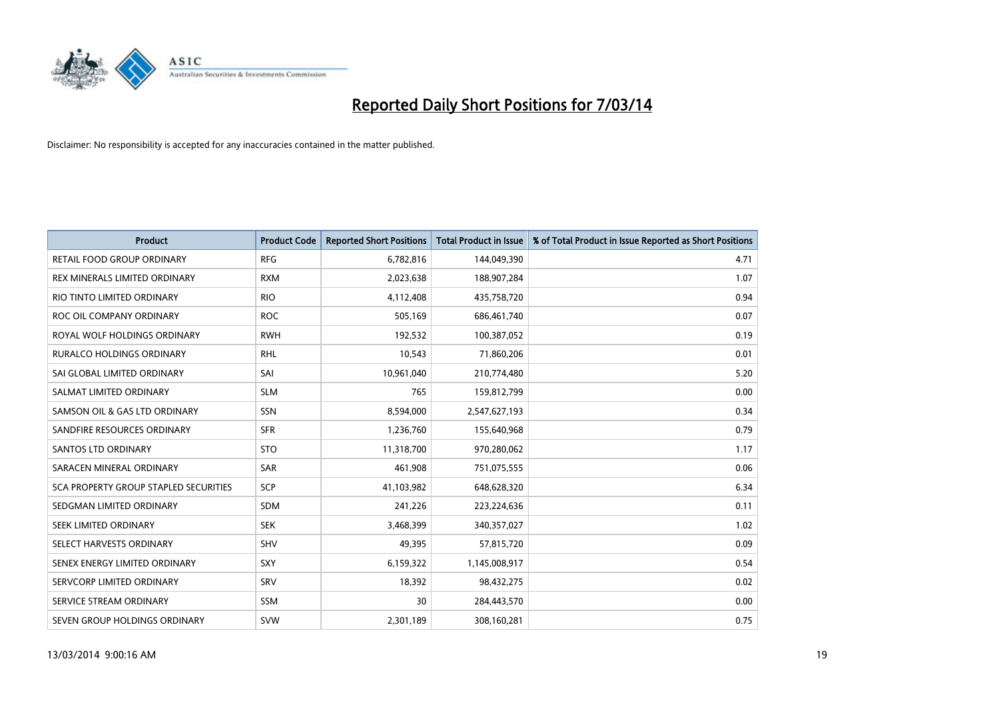

| <b>Product</b>                        | <b>Product Code</b> | <b>Reported Short Positions</b> | <b>Total Product in Issue</b> | % of Total Product in Issue Reported as Short Positions |
|---------------------------------------|---------------------|---------------------------------|-------------------------------|---------------------------------------------------------|
| RETAIL FOOD GROUP ORDINARY            | <b>RFG</b>          | 6,782,816                       | 144,049,390                   | 4.71                                                    |
| REX MINERALS LIMITED ORDINARY         | <b>RXM</b>          | 2,023,638                       | 188,907,284                   | 1.07                                                    |
| RIO TINTO LIMITED ORDINARY            | <b>RIO</b>          | 4,112,408                       | 435,758,720                   | 0.94                                                    |
| ROC OIL COMPANY ORDINARY              | <b>ROC</b>          | 505,169                         | 686,461,740                   | 0.07                                                    |
| ROYAL WOLF HOLDINGS ORDINARY          | <b>RWH</b>          | 192,532                         | 100,387,052                   | 0.19                                                    |
| <b>RURALCO HOLDINGS ORDINARY</b>      | <b>RHL</b>          | 10,543                          | 71,860,206                    | 0.01                                                    |
| SAI GLOBAL LIMITED ORDINARY           | SAI                 | 10,961,040                      | 210,774,480                   | 5.20                                                    |
| SALMAT LIMITED ORDINARY               | <b>SLM</b>          | 765                             | 159,812,799                   | 0.00                                                    |
| SAMSON OIL & GAS LTD ORDINARY         | SSN                 | 8,594,000                       | 2,547,627,193                 | 0.34                                                    |
| SANDFIRE RESOURCES ORDINARY           | <b>SFR</b>          | 1,236,760                       | 155,640,968                   | 0.79                                                    |
| <b>SANTOS LTD ORDINARY</b>            | <b>STO</b>          | 11,318,700                      | 970,280,062                   | 1.17                                                    |
| SARACEN MINERAL ORDINARY              | <b>SAR</b>          | 461,908                         | 751,075,555                   | 0.06                                                    |
| SCA PROPERTY GROUP STAPLED SECURITIES | SCP                 | 41,103,982                      | 648,628,320                   | 6.34                                                    |
| SEDGMAN LIMITED ORDINARY              | <b>SDM</b>          | 241,226                         | 223,224,636                   | 0.11                                                    |
| SEEK LIMITED ORDINARY                 | <b>SEK</b>          | 3,468,399                       | 340,357,027                   | 1.02                                                    |
| SELECT HARVESTS ORDINARY              | <b>SHV</b>          | 49,395                          | 57,815,720                    | 0.09                                                    |
| SENEX ENERGY LIMITED ORDINARY         | <b>SXY</b>          | 6,159,322                       | 1,145,008,917                 | 0.54                                                    |
| SERVCORP LIMITED ORDINARY             | <b>SRV</b>          | 18,392                          | 98,432,275                    | 0.02                                                    |
| SERVICE STREAM ORDINARY               | <b>SSM</b>          | 30                              | 284,443,570                   | 0.00                                                    |
| SEVEN GROUP HOLDINGS ORDINARY         | <b>SVW</b>          | 2,301,189                       | 308,160,281                   | 0.75                                                    |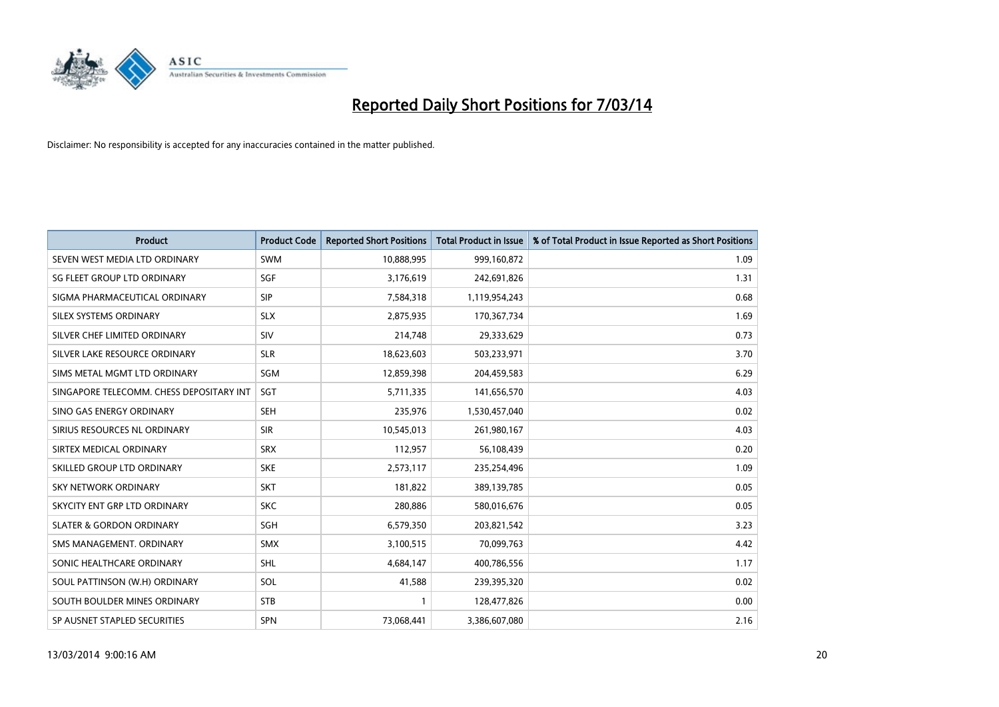

| <b>Product</b>                           | <b>Product Code</b> | <b>Reported Short Positions</b> | <b>Total Product in Issue</b> | % of Total Product in Issue Reported as Short Positions |
|------------------------------------------|---------------------|---------------------------------|-------------------------------|---------------------------------------------------------|
| SEVEN WEST MEDIA LTD ORDINARY            | <b>SWM</b>          | 10,888,995                      | 999,160,872                   | 1.09                                                    |
| SG FLEET GROUP LTD ORDINARY              | SGF                 | 3,176,619                       | 242,691,826                   | 1.31                                                    |
| SIGMA PHARMACEUTICAL ORDINARY            | <b>SIP</b>          | 7,584,318                       | 1,119,954,243                 | 0.68                                                    |
| SILEX SYSTEMS ORDINARY                   | <b>SLX</b>          | 2,875,935                       | 170,367,734                   | 1.69                                                    |
| SILVER CHEF LIMITED ORDINARY             | SIV                 | 214,748                         | 29,333,629                    | 0.73                                                    |
| SILVER LAKE RESOURCE ORDINARY            | <b>SLR</b>          | 18,623,603                      | 503,233,971                   | 3.70                                                    |
| SIMS METAL MGMT LTD ORDINARY             | SGM                 | 12,859,398                      | 204,459,583                   | 6.29                                                    |
| SINGAPORE TELECOMM. CHESS DEPOSITARY INT | <b>SGT</b>          | 5,711,335                       | 141,656,570                   | 4.03                                                    |
| SINO GAS ENERGY ORDINARY                 | <b>SEH</b>          | 235,976                         | 1,530,457,040                 | 0.02                                                    |
| SIRIUS RESOURCES NL ORDINARY             | <b>SIR</b>          | 10,545,013                      | 261,980,167                   | 4.03                                                    |
| SIRTEX MEDICAL ORDINARY                  | <b>SRX</b>          | 112,957                         | 56,108,439                    | 0.20                                                    |
| SKILLED GROUP LTD ORDINARY               | <b>SKE</b>          | 2,573,117                       | 235,254,496                   | 1.09                                                    |
| SKY NETWORK ORDINARY                     | <b>SKT</b>          | 181,822                         | 389,139,785                   | 0.05                                                    |
| SKYCITY ENT GRP LTD ORDINARY             | <b>SKC</b>          | 280,886                         | 580,016,676                   | 0.05                                                    |
| <b>SLATER &amp; GORDON ORDINARY</b>      | <b>SGH</b>          | 6,579,350                       | 203,821,542                   | 3.23                                                    |
| SMS MANAGEMENT. ORDINARY                 | <b>SMX</b>          | 3,100,515                       | 70,099,763                    | 4.42                                                    |
| SONIC HEALTHCARE ORDINARY                | <b>SHL</b>          | 4,684,147                       | 400,786,556                   | 1.17                                                    |
| SOUL PATTINSON (W.H) ORDINARY            | SOL                 | 41,588                          | 239,395,320                   | 0.02                                                    |
| SOUTH BOULDER MINES ORDINARY             | <b>STB</b>          |                                 | 128,477,826                   | 0.00                                                    |
| SP AUSNET STAPLED SECURITIES             | <b>SPN</b>          | 73,068,441                      | 3,386,607,080                 | 2.16                                                    |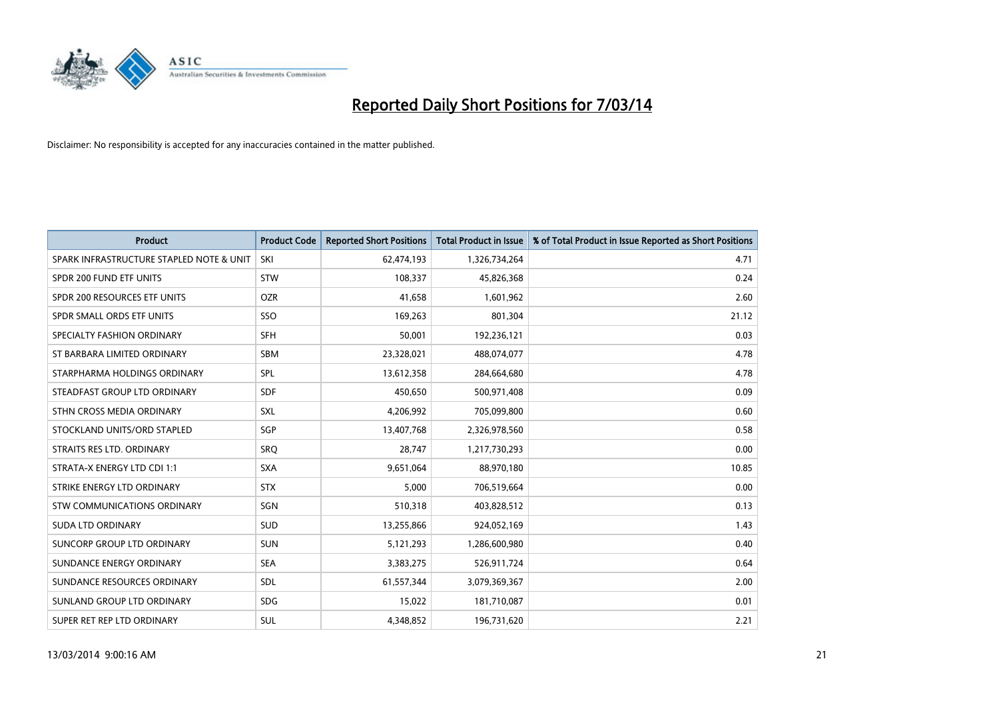

| <b>Product</b>                           | <b>Product Code</b> | <b>Reported Short Positions</b> | <b>Total Product in Issue</b> | % of Total Product in Issue Reported as Short Positions |
|------------------------------------------|---------------------|---------------------------------|-------------------------------|---------------------------------------------------------|
| SPARK INFRASTRUCTURE STAPLED NOTE & UNIT | SKI                 | 62,474,193                      | 1,326,734,264                 | 4.71                                                    |
| SPDR 200 FUND ETF UNITS                  | <b>STW</b>          | 108,337                         | 45,826,368                    | 0.24                                                    |
| SPDR 200 RESOURCES ETF UNITS             | <b>OZR</b>          | 41,658                          | 1,601,962                     | 2.60                                                    |
| SPDR SMALL ORDS ETF UNITS                | SSO                 | 169,263                         | 801,304                       | 21.12                                                   |
| SPECIALTY FASHION ORDINARY               | <b>SFH</b>          | 50,001                          | 192,236,121                   | 0.03                                                    |
| ST BARBARA LIMITED ORDINARY              | <b>SBM</b>          | 23,328,021                      | 488,074,077                   | 4.78                                                    |
| STARPHARMA HOLDINGS ORDINARY             | SPL                 | 13,612,358                      | 284,664,680                   | 4.78                                                    |
| STEADFAST GROUP LTD ORDINARY             | <b>SDF</b>          | 450,650                         | 500,971,408                   | 0.09                                                    |
| STHN CROSS MEDIA ORDINARY                | SXL                 | 4,206,992                       | 705,099,800                   | 0.60                                                    |
| STOCKLAND UNITS/ORD STAPLED              | SGP                 | 13,407,768                      | 2,326,978,560                 | 0.58                                                    |
| STRAITS RES LTD. ORDINARY                | SRQ                 | 28,747                          | 1,217,730,293                 | 0.00                                                    |
| STRATA-X ENERGY LTD CDI 1:1              | <b>SXA</b>          | 9,651,064                       | 88,970,180                    | 10.85                                                   |
| STRIKE ENERGY LTD ORDINARY               | <b>STX</b>          | 5,000                           | 706,519,664                   | 0.00                                                    |
| <b>STW COMMUNICATIONS ORDINARY</b>       | SGN                 | 510,318                         | 403,828,512                   | 0.13                                                    |
| <b>SUDA LTD ORDINARY</b>                 | <b>SUD</b>          | 13,255,866                      | 924,052,169                   | 1.43                                                    |
| SUNCORP GROUP LTD ORDINARY               | <b>SUN</b>          | 5,121,293                       | 1,286,600,980                 | 0.40                                                    |
| SUNDANCE ENERGY ORDINARY                 | <b>SEA</b>          | 3,383,275                       | 526,911,724                   | 0.64                                                    |
| SUNDANCE RESOURCES ORDINARY              | <b>SDL</b>          | 61,557,344                      | 3,079,369,367                 | 2.00                                                    |
| SUNLAND GROUP LTD ORDINARY               | <b>SDG</b>          | 15,022                          | 181,710,087                   | 0.01                                                    |
| SUPER RET REP LTD ORDINARY               | <b>SUL</b>          | 4,348,852                       | 196,731,620                   | 2.21                                                    |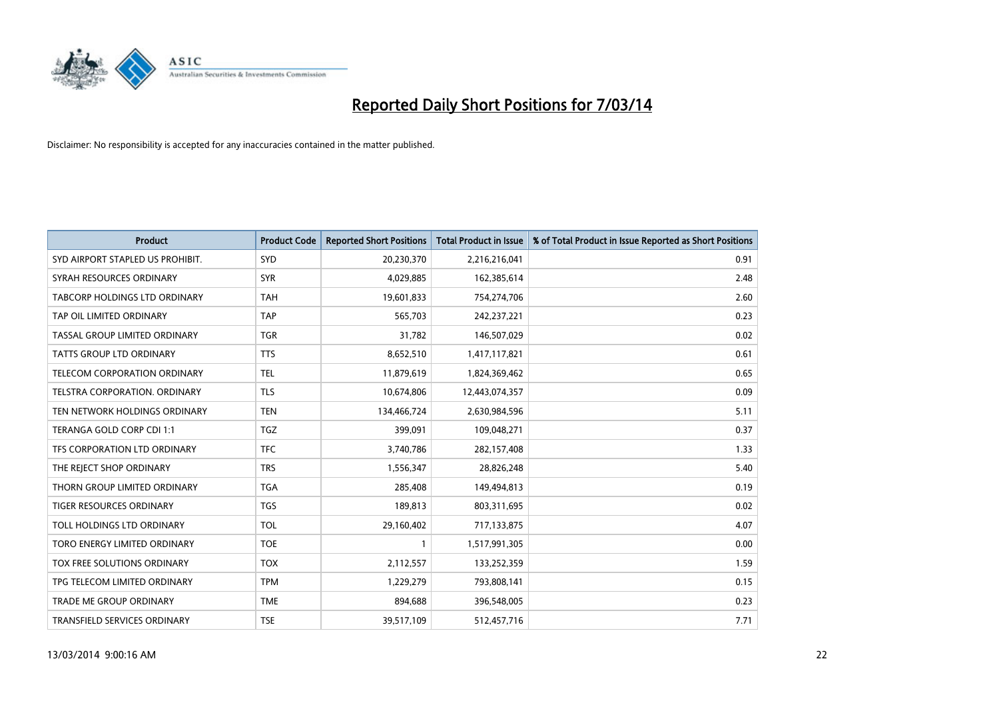

| <b>Product</b>                       | <b>Product Code</b> | <b>Reported Short Positions</b> | <b>Total Product in Issue</b> | % of Total Product in Issue Reported as Short Positions |
|--------------------------------------|---------------------|---------------------------------|-------------------------------|---------------------------------------------------------|
| SYD AIRPORT STAPLED US PROHIBIT.     | <b>SYD</b>          | 20,230,370                      | 2,216,216,041                 | 0.91                                                    |
| SYRAH RESOURCES ORDINARY             | <b>SYR</b>          | 4,029,885                       | 162,385,614                   | 2.48                                                    |
| <b>TABCORP HOLDINGS LTD ORDINARY</b> | <b>TAH</b>          | 19,601,833                      | 754,274,706                   | 2.60                                                    |
| TAP OIL LIMITED ORDINARY             | <b>TAP</b>          | 565,703                         | 242,237,221                   | 0.23                                                    |
| TASSAL GROUP LIMITED ORDINARY        | <b>TGR</b>          | 31,782                          | 146,507,029                   | 0.02                                                    |
| <b>TATTS GROUP LTD ORDINARY</b>      | <b>TTS</b>          | 8,652,510                       | 1,417,117,821                 | 0.61                                                    |
| <b>TELECOM CORPORATION ORDINARY</b>  | <b>TEL</b>          | 11,879,619                      | 1,824,369,462                 | 0.65                                                    |
| <b>TELSTRA CORPORATION, ORDINARY</b> | <b>TLS</b>          | 10,674,806                      | 12,443,074,357                | 0.09                                                    |
| TEN NETWORK HOLDINGS ORDINARY        | <b>TEN</b>          | 134,466,724                     | 2,630,984,596                 | 5.11                                                    |
| TERANGA GOLD CORP CDI 1:1            | <b>TGZ</b>          | 399,091                         | 109,048,271                   | 0.37                                                    |
| TFS CORPORATION LTD ORDINARY         | <b>TFC</b>          | 3,740,786                       | 282,157,408                   | 1.33                                                    |
| THE REJECT SHOP ORDINARY             | <b>TRS</b>          | 1,556,347                       | 28,826,248                    | 5.40                                                    |
| THORN GROUP LIMITED ORDINARY         | <b>TGA</b>          | 285,408                         | 149,494,813                   | 0.19                                                    |
| <b>TIGER RESOURCES ORDINARY</b>      | <b>TGS</b>          | 189,813                         | 803,311,695                   | 0.02                                                    |
| TOLL HOLDINGS LTD ORDINARY           | <b>TOL</b>          | 29,160,402                      | 717,133,875                   | 4.07                                                    |
| TORO ENERGY LIMITED ORDINARY         | <b>TOE</b>          |                                 | 1,517,991,305                 | 0.00                                                    |
| <b>TOX FREE SOLUTIONS ORDINARY</b>   | <b>TOX</b>          | 2,112,557                       | 133,252,359                   | 1.59                                                    |
| TPG TELECOM LIMITED ORDINARY         | <b>TPM</b>          | 1,229,279                       | 793,808,141                   | 0.15                                                    |
| <b>TRADE ME GROUP ORDINARY</b>       | <b>TME</b>          | 894,688                         | 396,548,005                   | 0.23                                                    |
| <b>TRANSFIELD SERVICES ORDINARY</b>  | <b>TSE</b>          | 39,517,109                      | 512,457,716                   | 7.71                                                    |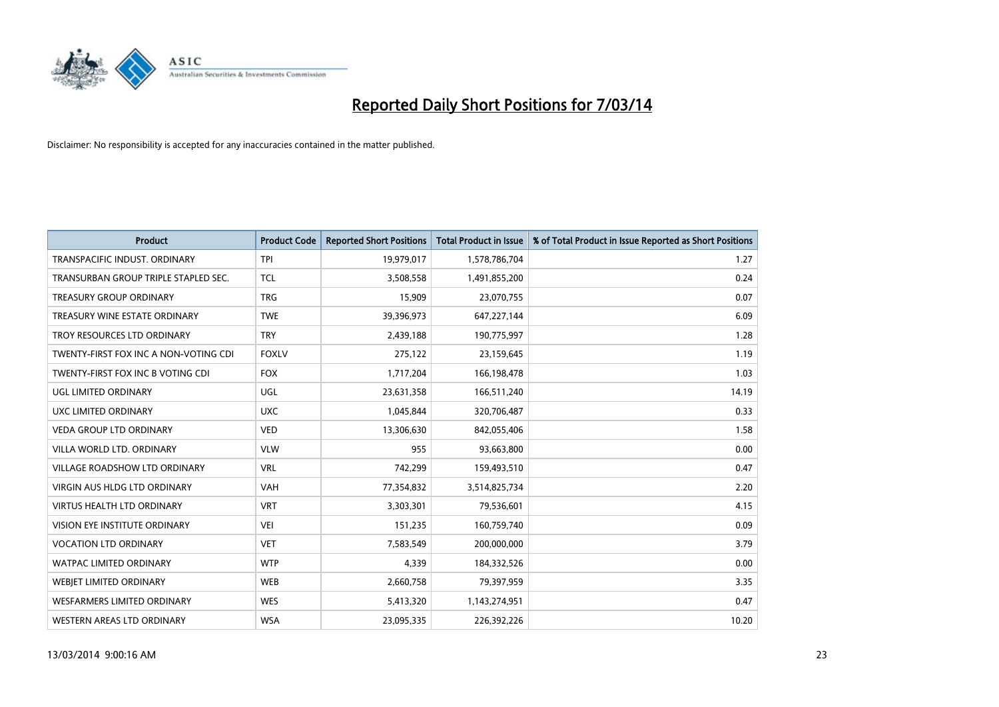

| <b>Product</b>                        | <b>Product Code</b> | <b>Reported Short Positions</b> | <b>Total Product in Issue</b> | % of Total Product in Issue Reported as Short Positions |
|---------------------------------------|---------------------|---------------------------------|-------------------------------|---------------------------------------------------------|
| TRANSPACIFIC INDUST, ORDINARY         | <b>TPI</b>          | 19,979,017                      | 1,578,786,704                 | 1.27                                                    |
| TRANSURBAN GROUP TRIPLE STAPLED SEC.  | <b>TCL</b>          | 3,508,558                       | 1,491,855,200                 | 0.24                                                    |
| <b>TREASURY GROUP ORDINARY</b>        | <b>TRG</b>          | 15,909                          | 23,070,755                    | 0.07                                                    |
| TREASURY WINE ESTATE ORDINARY         | <b>TWE</b>          | 39,396,973                      | 647,227,144                   | 6.09                                                    |
| TROY RESOURCES LTD ORDINARY           | <b>TRY</b>          | 2,439,188                       | 190,775,997                   | 1.28                                                    |
| TWENTY-FIRST FOX INC A NON-VOTING CDI | <b>FOXLV</b>        | 275,122                         | 23,159,645                    | 1.19                                                    |
| TWENTY-FIRST FOX INC B VOTING CDI     | <b>FOX</b>          | 1,717,204                       | 166,198,478                   | 1.03                                                    |
| UGL LIMITED ORDINARY                  | UGL                 | 23,631,358                      | 166,511,240                   | 14.19                                                   |
| UXC LIMITED ORDINARY                  | <b>UXC</b>          | 1,045,844                       | 320,706,487                   | 0.33                                                    |
| <b>VEDA GROUP LTD ORDINARY</b>        | <b>VED</b>          | 13,306,630                      | 842,055,406                   | 1.58                                                    |
| VILLA WORLD LTD. ORDINARY             | <b>VLW</b>          | 955                             | 93,663,800                    | 0.00                                                    |
| <b>VILLAGE ROADSHOW LTD ORDINARY</b>  | <b>VRL</b>          | 742,299                         | 159,493,510                   | 0.47                                                    |
| VIRGIN AUS HLDG LTD ORDINARY          | VAH                 | 77,354,832                      | 3,514,825,734                 | 2.20                                                    |
| <b>VIRTUS HEALTH LTD ORDINARY</b>     | <b>VRT</b>          | 3,303,301                       | 79,536,601                    | 4.15                                                    |
| <b>VISION EYE INSTITUTE ORDINARY</b>  | <b>VEI</b>          | 151,235                         | 160,759,740                   | 0.09                                                    |
| <b>VOCATION LTD ORDINARY</b>          | <b>VET</b>          | 7,583,549                       | 200,000,000                   | 3.79                                                    |
| WATPAC LIMITED ORDINARY               | <b>WTP</b>          | 4,339                           | 184,332,526                   | 0.00                                                    |
| WEBJET LIMITED ORDINARY               | <b>WEB</b>          | 2,660,758                       | 79,397,959                    | 3.35                                                    |
| <b>WESFARMERS LIMITED ORDINARY</b>    | <b>WES</b>          | 5,413,320                       | 1,143,274,951                 | 0.47                                                    |
| WESTERN AREAS LTD ORDINARY            | <b>WSA</b>          | 23,095,335                      | 226,392,226                   | 10.20                                                   |